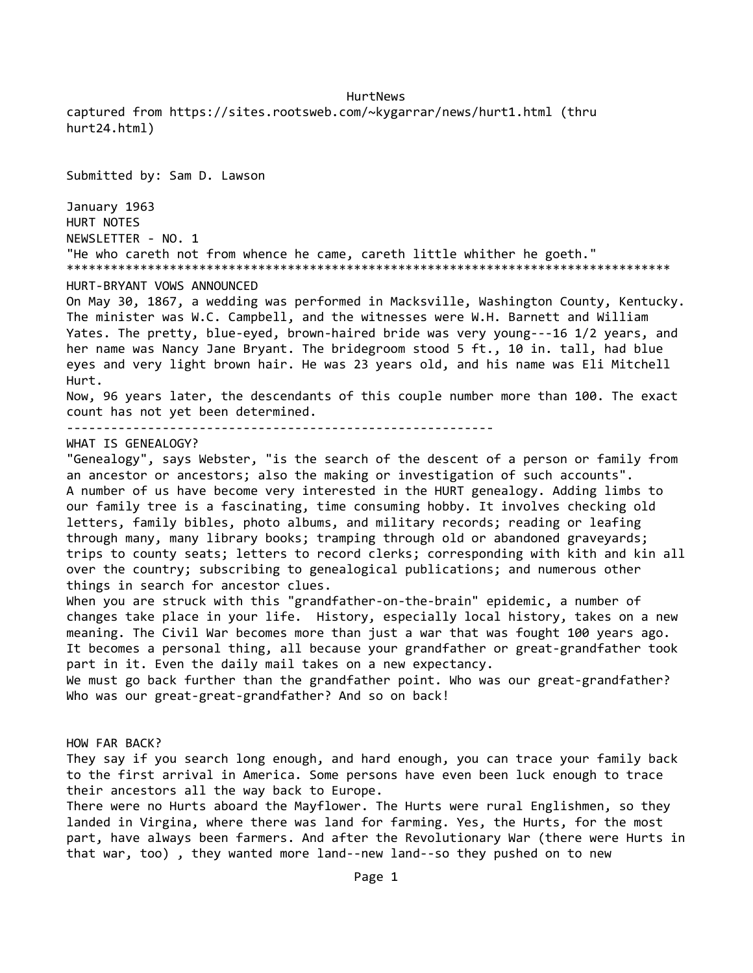HurtNews captured from https://sites.rootsweb.com/~kygarrar/news/hurt1.html (thru hurt24.html)

Submitted by: Sam D. Lawson January 1963 HURT NOTES NEWSLETTER - NO. 1 "He who careth not from whence he came, careth little whither he goeth." \*\*\*\*\*\*\*\*\*\*\*\*\*\*\*\*\*\*\*\*\*\*\*\*\*\*\*\*\*\*\*\*\*\*\*\*\*\*\*\*\*\*\*\*\*\*\*\*\*\*\*\*\*\*\*\*\*\*\*\*\*\*\*\*\*\*\*\*\*\*\*\*\*\*\*\*\*\*\*\*\*\* HURT-BRYANT VOWS ANNOUNCED On May 30, 1867, a wedding was performed in Macksville, Washington County, Kentucky. The minister was W.C. Campbell, and the witnesses were W.H. Barnett and William Yates. The pretty, blue-eyed, brown-haired bride was very young---16 1/2 years, and her name was Nancy Jane Bryant. The bridegroom stood 5 ft., 10 in. tall, had blue eyes and very light brown hair. He was 23 years old, and his name was Eli Mitchell Hurt.

Now, 96 years later, the descendants of this couple number more than 100. The exact count has not yet been determined.

----------------------------------------------------------

WHAT IS GENEALOGY?

"Genealogy", says Webster, "is the search of the descent of a person or family from an ancestor or ancestors; also the making or investigation of such accounts". A number of us have become very interested in the HURT genealogy. Adding limbs to our family tree is a fascinating, time consuming hobby. It involves checking old letters, family bibles, photo albums, and military records; reading or leafing through many, many library books; tramping through old or abandoned graveyards; trips to county seats; letters to record clerks; corresponding with kith and kin all over the country; subscribing to genealogical publications; and numerous other things in search for ancestor clues.

When you are struck with this "grandfather-on-the-brain" epidemic, a number of changes take place in your life. History, especially local history, takes on a new meaning. The Civil War becomes more than just a war that was fought 100 years ago. It becomes a personal thing, all because your grandfather or great-grandfather took part in it. Even the daily mail takes on a new expectancy.

We must go back further than the grandfather point. Who was our great-grandfather? Who was our great-great-grandfather? And so on back!

HOW FAR BACK?

They say if you search long enough, and hard enough, you can trace your family back to the first arrival in America. Some persons have even been luck enough to trace their ancestors all the way back to Europe.

There were no Hurts aboard the Mayflower. The Hurts were rural Englishmen, so they landed in Virgina, where there was land for farming. Yes, the Hurts, for the most part, have always been farmers. And after the Revolutionary War (there were Hurts in that war, too) , they wanted more land--new land--so they pushed on to new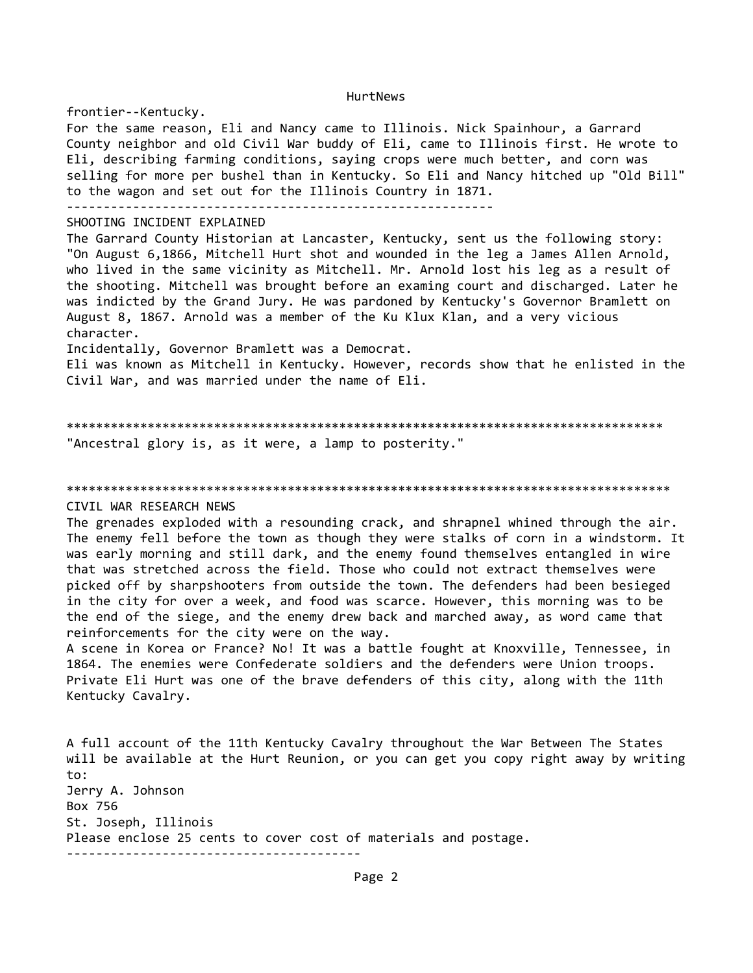frontier--Kentucky. For the same reason, Eli and Nancy came to Illinois. Nick Spainhour, a Garrard County neighbor and old Civil War buddy of Eli, came to Illinois first. He wrote to Eli, describing farming conditions, saying crops were much better, and corn was selling for more per bushel than in Kentucky. So Eli and Nancy hitched up "Old Bill" to the wagon and set out for the Illinois Country in 1871. ---------------------------------------------------------- SHOOTING INCIDENT EXPLAINED The Garrard County Historian at Lancaster, Kentucky, sent us the following story: "On August 6,1866, Mitchell Hurt shot and wounded in the leg a James Allen Arnold, who lived in the same vicinity as Mitchell. Mr. Arnold lost his leg as a result of the shooting. Mitchell was brought before an examing court and discharged. Later he was indicted by the Grand Jury. He was pardoned by Kentucky's Governor Bramlett on August 8, 1867. Arnold was a member of the Ku Klux Klan, and a very vicious character. Incidentally, Governor Bramlett was a Democrat. Eli was known as Mitchell in Kentucky. However, records show that he enlisted in the Civil War, and was married under the name of Eli.

\*\*\*\*\*\*\*\*\*\*\*\*\*\*\*\*\*\*\*\*\*\*\*\*\*\*\*\*\*\*\*\*\*\*\*\*\*\*\*\*\*\*\*\*\*\*\*\*\*\*\*\*\*\*\*\*\*\*\*\*\*\*\*\*\*\*\*\*\*\*\*\*\*\*\*\*\*\*\*\*\* "Ancestral glory is, as it were, a lamp to posterity."

\*\*\*\*\*\*\*\*\*\*\*\*\*\*\*\*\*\*\*\*\*\*\*\*\*\*\*\*\*\*\*\*\*\*\*\*\*\*\*\*\*\*\*\*\*\*\*\*\*\*\*\*\*\*\*\*\*\*\*\*\*\*\*\*\*\*\*\*\*\*\*\*\*\*\*\*\*\*\*\*\*\*

# CIVIL WAR RESEARCH NEWS

The grenades exploded with a resounding crack, and shrapnel whined through the air. The enemy fell before the town as though they were stalks of corn in a windstorm. It was early morning and still dark, and the enemy found themselves entangled in wire that was stretched across the field. Those who could not extract themselves were picked off by sharpshooters from outside the town. The defenders had been besieged in the city for over a week, and food was scarce. However, this morning was to be the end of the siege, and the enemy drew back and marched away, as word came that reinforcements for the city were on the way.

A scene in Korea or France? No! It was a battle fought at Knoxville, Tennessee, in 1864. The enemies were Confederate soldiers and the defenders were Union troops. Private Eli Hurt was one of the brave defenders of this city, along with the 11th Kentucky Cavalry.

A full account of the 11th Kentucky Cavalry throughout the War Between The States will be available at the Hurt Reunion, or you can get you copy right away by writing to: Jerry A. Johnson Box 756 St. Joseph, Illinois Please enclose 25 cents to cover cost of materials and postage. ----------------------------------------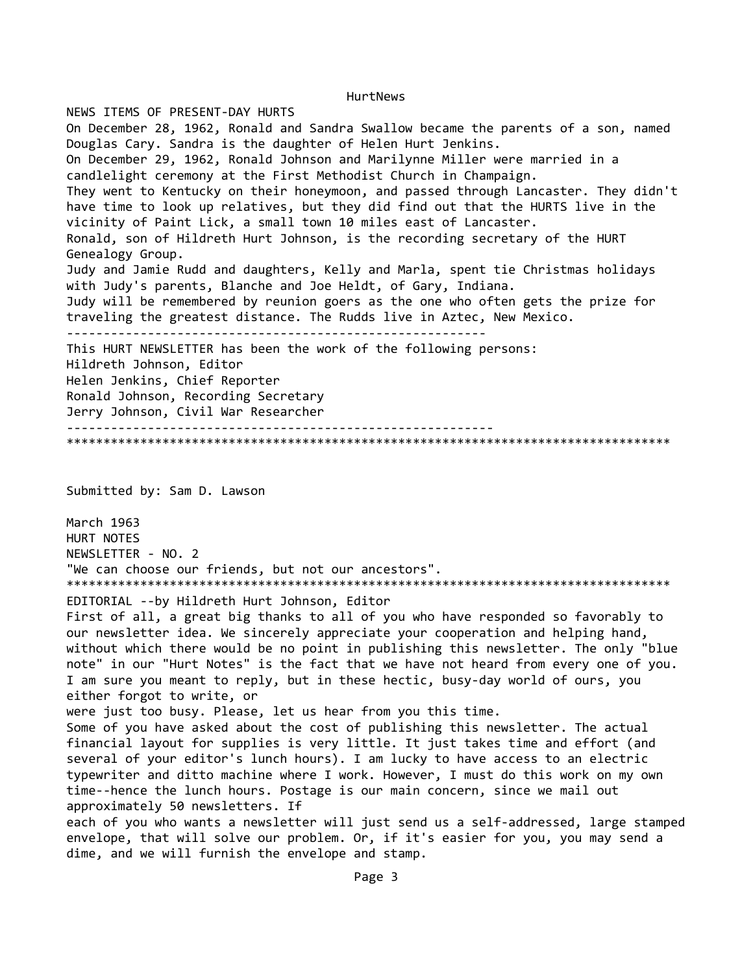NEWS ITEMS OF PRESENT-DAY HURTS On December 28, 1962, Ronald and Sandra Swallow became the parents of a son, named Douglas Cary. Sandra is the daughter of Helen Hurt Jenkins. On December 29, 1962, Ronald Johnson and Marilynne Miller were married in a candlelight ceremony at the First Methodist Church in Champaign. They went to Kentucky on their honeymoon, and passed through Lancaster. They didn't have time to look up relatives, but they did find out that the HURTS live in the vicinity of Paint Lick, a small town 10 miles east of Lancaster. Ronald, son of Hildreth Hurt Johnson, is the recording secretary of the HURT Genealogy Group. Judy and Jamie Rudd and daughters, Kelly and Marla, spent tie Christmas holidays with Judy's parents, Blanche and Joe Heldt, of Gary, Indiana. Judy will be remembered by reunion goers as the one who often gets the prize for traveling the greatest distance. The Rudds live in Aztec, New Mexico. --------------------------------------------------------- This HURT NEWSLETTER has been the work of the following persons: Hildreth Johnson, Editor Helen Jenkins, Chief Reporter Ronald Johnson, Recording Secretary Jerry Johnson, Civil War Researcher ---------------------------------------------------------- \*\*\*\*\*\*\*\*\*\*\*\*\*\*\*\*\*\*\*\*\*\*\*\*\*\*\*\*\*\*\*\*\*\*\*\*\*\*\*\*\*\*\*\*\*\*\*\*\*\*\*\*\*\*\*\*\*\*\*\*\*\*\*\*\*\*\*\*\*\*\*\*\*\*\*\*\*\*\*\*\*\*

Submitted by: Sam D. Lawson

March 1963 HURT NOTES NEWSLETTER - NO. 2 "We can choose our friends, but not our ancestors". \*\*\*\*\*\*\*\*\*\*\*\*\*\*\*\*\*\*\*\*\*\*\*\*\*\*\*\*\*\*\*\*\*\*\*\*\*\*\*\*\*\*\*\*\*\*\*\*\*\*\*\*\*\*\*\*\*\*\*\*\*\*\*\*\*\*\*\*\*\*\*\*\*\*\*\*\*\*\*\*\*\*

EDITORIAL --by Hildreth Hurt Johnson, Editor

First of all, a great big thanks to all of you who have responded so favorably to our newsletter idea. We sincerely appreciate your cooperation and helping hand, without which there would be no point in publishing this newsletter. The only "blue note" in our "Hurt Notes" is the fact that we have not heard from every one of you. I am sure you meant to reply, but in these hectic, busy-day world of ours, you either forgot to write, or

were just too busy. Please, let us hear from you this time.

Some of you have asked about the cost of publishing this newsletter. The actual financial layout for supplies is very little. It just takes time and effort (and several of your editor's lunch hours). I am lucky to have access to an electric typewriter and ditto machine where I work. However, I must do this work on my own time--hence the lunch hours. Postage is our main concern, since we mail out approximately 50 newsletters. If

each of you who wants a newsletter will just send us a self-addressed, large stamped envelope, that will solve our problem. Or, if it's easier for you, you may send a dime, and we will furnish the envelope and stamp.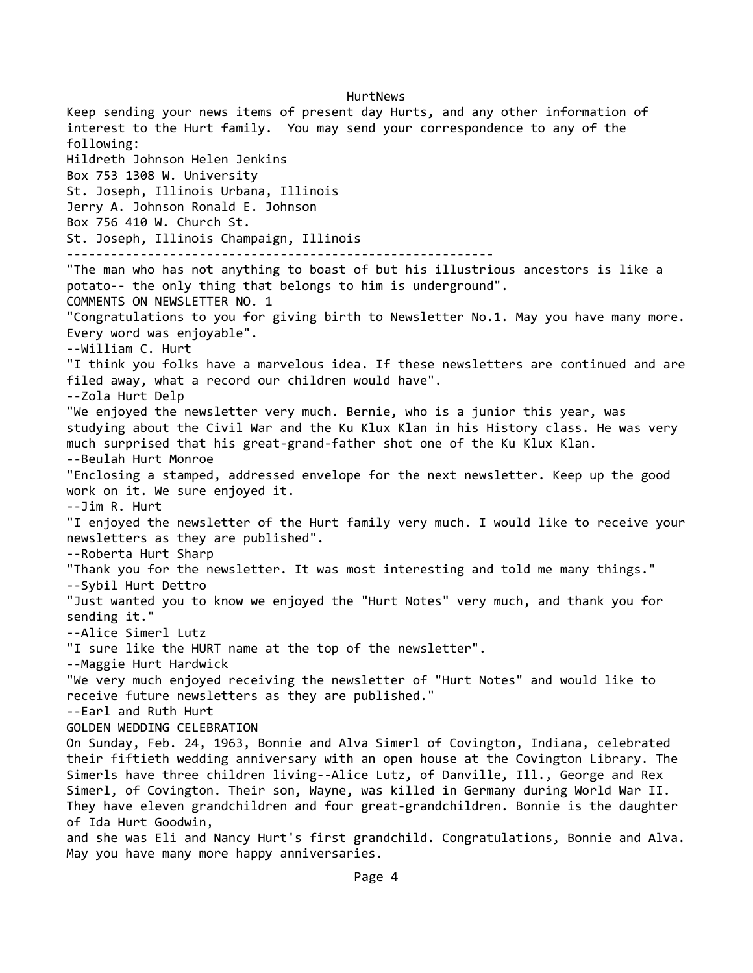HurtNews Keep sending your news items of present day Hurts, and any other information of interest to the Hurt family. You may send your correspondence to any of the following: Hildreth Johnson Helen Jenkins Box 753 1308 W. University St. Joseph, Illinois Urbana, Illinois Jerry A. Johnson Ronald E. Johnson Box 756 410 W. Church St. St. Joseph, Illinois Champaign, Illinois ---------------------------------------------------------- "The man who has not anything to boast of but his illustrious ancestors is like a potato-- the only thing that belongs to him is underground". COMMENTS ON NEWSLETTER NO. 1 "Congratulations to you for giving birth to Newsletter No.1. May you have many more. Every word was enjoyable". --William C. Hurt "I think you folks have a marvelous idea. If these newsletters are continued and are filed away, what a record our children would have". --Zola Hurt Delp "We enjoyed the newsletter very much. Bernie, who is a junior this year, was studying about the Civil War and the Ku Klux Klan in his History class. He was very much surprised that his great-grand-father shot one of the Ku Klux Klan. --Beulah Hurt Monroe "Enclosing a stamped, addressed envelope for the next newsletter. Keep up the good work on it. We sure enjoyed it. --Jim R. Hurt "I enjoyed the newsletter of the Hurt family very much. I would like to receive your newsletters as they are published". --Roberta Hurt Sharp "Thank you for the newsletter. It was most interesting and told me many things." --Sybil Hurt Dettro "Just wanted you to know we enjoyed the "Hurt Notes" very much, and thank you for sending it." --Alice Simerl Lutz "I sure like the HURT name at the top of the newsletter". --Maggie Hurt Hardwick "We very much enjoyed receiving the newsletter of "Hurt Notes" and would like to receive future newsletters as they are published." --Earl and Ruth Hurt GOLDEN WEDDING CELEBRATION On Sunday, Feb. 24, 1963, Bonnie and Alva Simerl of Covington, Indiana, celebrated their fiftieth wedding anniversary with an open house at the Covington Library. The Simerls have three children living--Alice Lutz, of Danville, Ill., George and Rex Simerl, of Covington. Their son, Wayne, was killed in Germany during World War II. They have eleven grandchildren and four great-grandchildren. Bonnie is the daughter of Ida Hurt Goodwin, and she was Eli and Nancy Hurt's first grandchild. Congratulations, Bonnie and Alva. May you have many more happy anniversaries.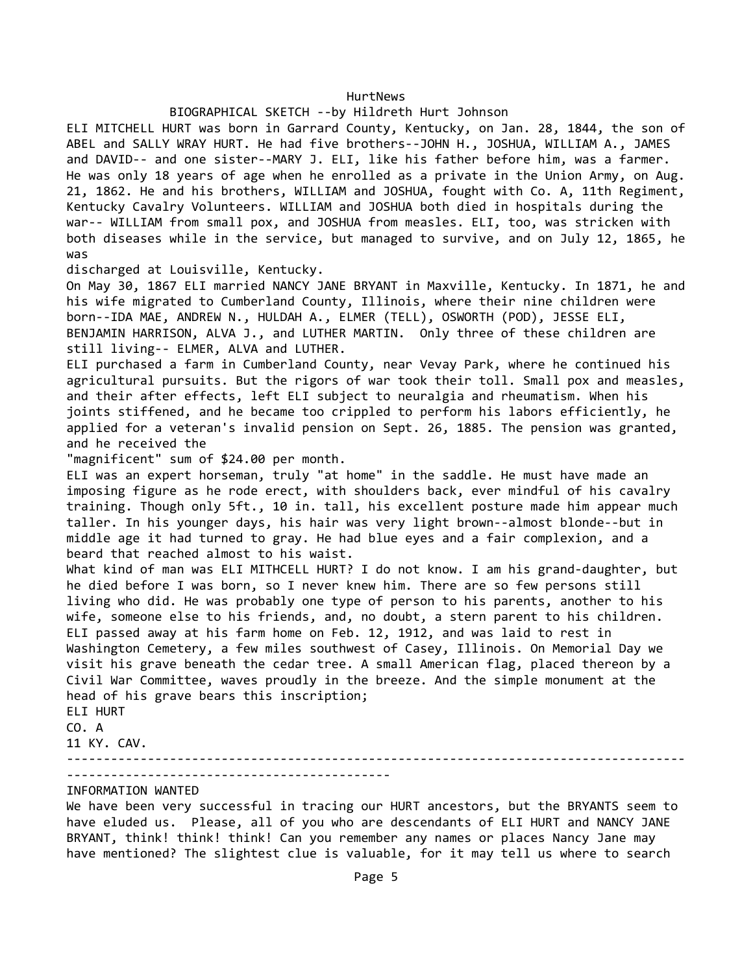### BIOGRAPHICAL SKETCH --by Hildreth Hurt Johnson

ELI MITCHELL HURT was born in Garrard County, Kentucky, on Jan. 28, 1844, the son of ABEL and SALLY WRAY HURT. He had five brothers--JOHN H., JOSHUA, WILLIAM A., JAMES and DAVID-- and one sister--MARY J. ELI, like his father before him, was a farmer. He was only 18 years of age when he enrolled as a private in the Union Army, on Aug. 21, 1862. He and his brothers, WILLIAM and JOSHUA, fought with Co. A, 11th Regiment, Kentucky Cavalry Volunteers. WILLIAM and JOSHUA both died in hospitals during the war-- WILLIAM from small pox, and JOSHUA from measles. ELI, too, was stricken with both diseases while in the service, but managed to survive, and on July 12, 1865, he was

discharged at Louisville, Kentucky.

On May 30, 1867 ELI married NANCY JANE BRYANT in Maxville, Kentucky. In 1871, he and his wife migrated to Cumberland County, Illinois, where their nine children were born--IDA MAE, ANDREW N., HULDAH A., ELMER (TELL), OSWORTH (POD), JESSE ELI, BENJAMIN HARRISON, ALVA J., and LUTHER MARTIN. Only three of these children are still living-- ELMER, ALVA and LUTHER.

ELI purchased a farm in Cumberland County, near Vevay Park, where he continued his agricultural pursuits. But the rigors of war took their toll. Small pox and measles, and their after effects, left ELI subject to neuralgia and rheumatism. When his joints stiffened, and he became too crippled to perform his labors efficiently, he applied for a veteran's invalid pension on Sept. 26, 1885. The pension was granted, and he received the

"magnificent" sum of \$24.00 per month.

ELI was an expert horseman, truly "at home" in the saddle. He must have made an imposing figure as he rode erect, with shoulders back, ever mindful of his cavalry training. Though only 5ft., 10 in. tall, his excellent posture made him appear much taller. In his younger days, his hair was very light brown--almost blonde--but in middle age it had turned to gray. He had blue eyes and a fair complexion, and a beard that reached almost to his waist.

What kind of man was ELI MITHCELL HURT? I do not know. I am his grand-daughter, but he died before I was born, so I never knew him. There are so few persons still living who did. He was probably one type of person to his parents, another to his wife, someone else to his friends, and, no doubt, a stern parent to his children. ELI passed away at his farm home on Feb. 12, 1912, and was laid to rest in Washington Cemetery, a few miles southwest of Casey, Illinois. On Memorial Day we visit his grave beneath the cedar tree. A small American flag, placed thereon by a Civil War Committee, waves proudly in the breeze. And the simple monument at the head of his grave bears this inscription; ELI HURT

CO. A

11 KY. CAV.

------------------------------------------------------------------------------------

--------------------------------------------

## INFORMATION WANTED

We have been very successful in tracing our HURT ancestors, but the BRYANTS seem to have eluded us. Please, all of you who are descendants of ELI HURT and NANCY JANE BRYANT, think! think! think! Can you remember any names or places Nancy Jane may have mentioned? The slightest clue is valuable, for it may tell us where to search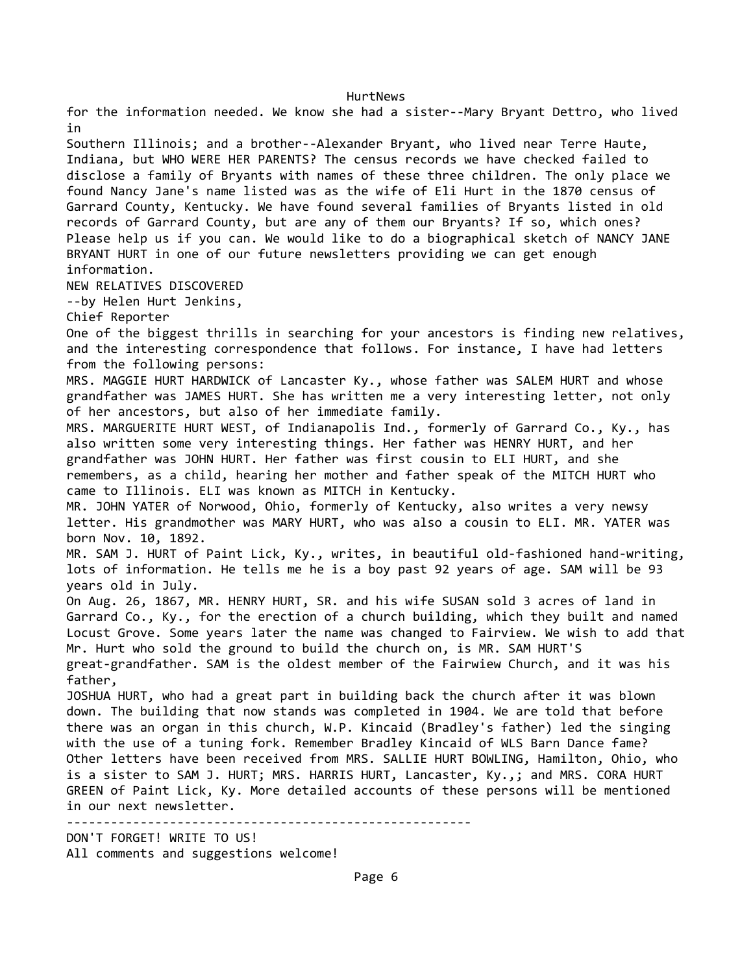for the information needed. We know she had a sister--Mary Bryant Dettro, who lived in Southern Illinois; and a brother--Alexander Bryant, who lived near Terre Haute, Indiana, but WHO WERE HER PARENTS? The census records we have checked failed to disclose a family of Bryants with names of these three children. The only place we found Nancy Jane's name listed was as the wife of Eli Hurt in the 1870 census of Garrard County, Kentucky. We have found several families of Bryants listed in old records of Garrard County, but are any of them our Bryants? If so, which ones? Please help us if you can. We would like to do a biographical sketch of NANCY JANE BRYANT HURT in one of our future newsletters providing we can get enough information. NEW RELATIVES DISCOVERED --by Helen Hurt Jenkins, Chief Reporter One of the biggest thrills in searching for your ancestors is finding new relatives, and the interesting correspondence that follows. For instance, I have had letters from the following persons: MRS. MAGGIE HURT HARDWICK of Lancaster Ky., whose father was SALEM HURT and whose grandfather was JAMES HURT. She has written me a very interesting letter, not only of her ancestors, but also of her immediate family. MRS. MARGUERITE HURT WEST, of Indianapolis Ind., formerly of Garrard Co., Ky., has also written some very interesting things. Her father was HENRY HURT, and her grandfather was JOHN HURT. Her father was first cousin to ELI HURT, and she remembers, as a child, hearing her mother and father speak of the MITCH HURT who came to Illinois. ELI was known as MITCH in Kentucky. MR. JOHN YATER of Norwood, Ohio, formerly of Kentucky, also writes a very newsy letter. His grandmother was MARY HURT, who was also a cousin to ELI. MR. YATER was born Nov. 10, 1892. MR. SAM J. HURT of Paint Lick, Ky., writes, in beautiful old-fashioned hand-writing, lots of information. He tells me he is a boy past 92 years of age. SAM will be 93 years old in July. On Aug. 26, 1867, MR. HENRY HURT, SR. and his wife SUSAN sold 3 acres of land in Garrard Co., Ky., for the erection of a church building, which they built and named Locust Grove. Some years later the name was changed to Fairview. We wish to add that Mr. Hurt who sold the ground to build the church on, is MR. SAM HURT'S great-grandfather. SAM is the oldest member of the Fairwiew Church, and it was his father, JOSHUA HURT, who had a great part in building back the church after it was blown down. The building that now stands was completed in 1904. We are told that before there was an organ in this church, W.P. Kincaid (Bradley's father) led the singing with the use of a tuning fork. Remember Bradley Kincaid of WLS Barn Dance fame? Other letters have been received from MRS. SALLIE HURT BOWLING, Hamilton, Ohio, who is a sister to SAM J. HURT; MRS. HARRIS HURT, Lancaster, Ky.,; and MRS. CORA HURT GREEN of Paint Lick, Ky. More detailed accounts of these persons will be mentioned in our next newsletter. ------------------------------------------------------- DON'T FORGET! WRITE TO US! All comments and suggestions welcome!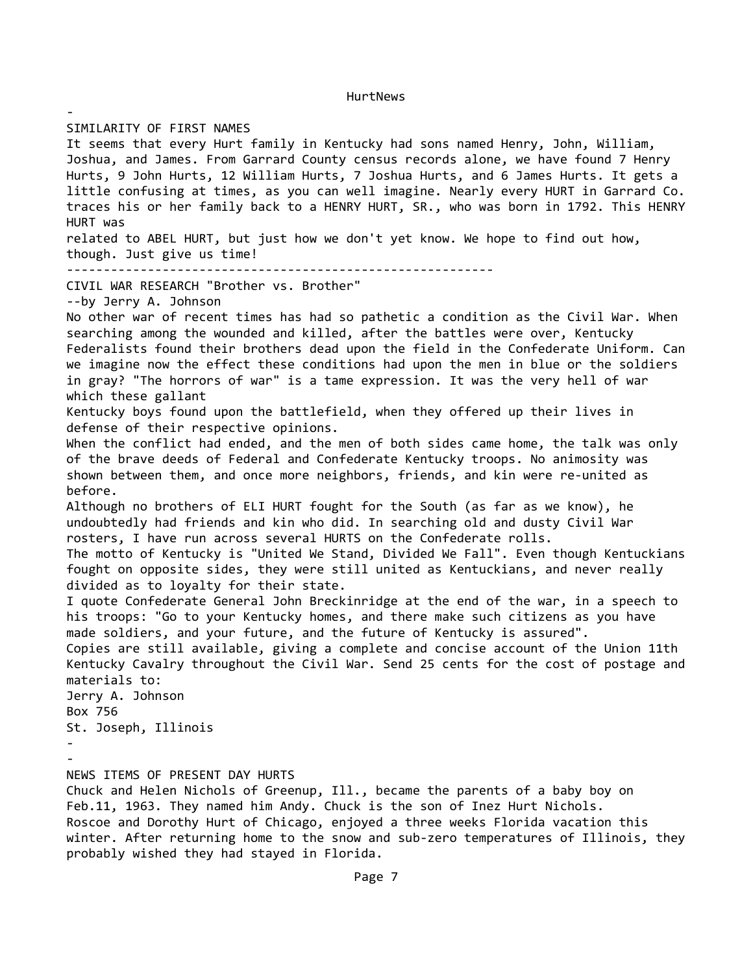SIMILARITY OF FIRST NAMES

-

It seems that every Hurt family in Kentucky had sons named Henry, John, William, Joshua, and James. From Garrard County census records alone, we have found 7 Henry Hurts, 9 John Hurts, 12 William Hurts, 7 Joshua Hurts, and 6 James Hurts. It gets a little confusing at times, as you can well imagine. Nearly every HURT in Garrard Co. traces his or her family back to a HENRY HURT, SR., who was born in 1792. This HENRY HURT was related to ABEL HURT, but just how we don't yet know. We hope to find out how, though. Just give us time! ---------------------------------------------------------- CIVIL WAR RESEARCH "Brother vs. Brother" --by Jerry A. Johnson No other war of recent times has had so pathetic a condition as the Civil War. When searching among the wounded and killed, after the battles were over, Kentucky Federalists found their brothers dead upon the field in the Confederate Uniform. Can we imagine now the effect these conditions had upon the men in blue or the soldiers in gray? "The horrors of war" is a tame expression. It was the very hell of war which these gallant Kentucky boys found upon the battlefield, when they offered up their lives in defense of their respective opinions. When the conflict had ended, and the men of both sides came home, the talk was only of the brave deeds of Federal and Confederate Kentucky troops. No animosity was shown between them, and once more neighbors, friends, and kin were re-united as before. Although no brothers of ELI HURT fought for the South (as far as we know), he undoubtedly had friends and kin who did. In searching old and dusty Civil War rosters, I have run across several HURTS on the Confederate rolls. The motto of Kentucky is "United We Stand, Divided We Fall". Even though Kentuckians fought on opposite sides, they were still united as Kentuckians, and never really divided as to loyalty for their state. I quote Confederate General John Breckinridge at the end of the war, in a speech to his troops: "Go to your Kentucky homes, and there make such citizens as you have made soldiers, and your future, and the future of Kentucky is assured". Copies are still available, giving a complete and concise account of the Union 11th Kentucky Cavalry throughout the Civil War. Send 25 cents for the cost of postage and materials to: Jerry A. Johnson Box 756 St. Joseph, Illinois - - NEWS ITEMS OF PRESENT DAY HURTS Chuck and Helen Nichols of Greenup, Ill., became the parents of a baby boy on Feb.11, 1963. They named him Andy. Chuck is the son of Inez Hurt Nichols.

Roscoe and Dorothy Hurt of Chicago, enjoyed a three weeks Florida vacation this winter. After returning home to the snow and sub-zero temperatures of Illinois, they probably wished they had stayed in Florida.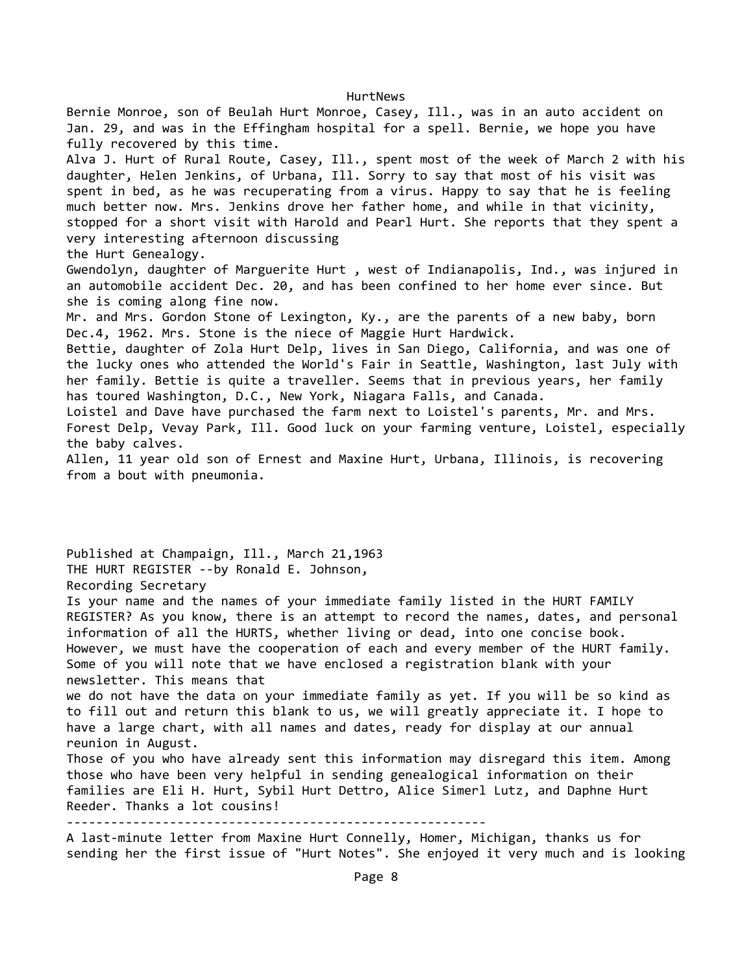Bernie Monroe, son of Beulah Hurt Monroe, Casey, Ill., was in an auto accident on Jan. 29, and was in the Effingham hospital for a spell. Bernie, we hope you have fully recovered by this time. Alva J. Hurt of Rural Route, Casey, Ill., spent most of the week of March 2 with his daughter, Helen Jenkins, of Urbana, Ill. Sorry to say that most of his visit was spent in bed, as he was recuperating from a virus. Happy to say that he is feeling much better now. Mrs. Jenkins drove her father home, and while in that vicinity, stopped for a short visit with Harold and Pearl Hurt. She reports that they spent a very interesting afternoon discussing the Hurt Genealogy. Gwendolyn, daughter of Marguerite Hurt , west of Indianapolis, Ind., was injured in an automobile accident Dec. 20, and has been confined to her home ever since. But she is coming along fine now. Mr. and Mrs. Gordon Stone of Lexington, Ky., are the parents of a new baby, born Dec.4, 1962. Mrs. Stone is the niece of Maggie Hurt Hardwick. Bettie, daughter of Zola Hurt Delp, lives in San Diego, California, and was one of the lucky ones who attended the World's Fair in Seattle, Washington, last July with her family. Bettie is quite a traveller. Seems that in previous years, her family has toured Washington, D.C., New York, Niagara Falls, and Canada. Loistel and Dave have purchased the farm next to Loistel's parents, Mr. and Mrs. Forest Delp, Vevay Park, Ill. Good luck on your farming venture, Loistel, especially the baby calves. Allen, 11 year old son of Ernest and Maxine Hurt, Urbana, Illinois, is recovering from a bout with pneumonia.

Published at Champaign, Ill., March 21,1963 THE HURT REGISTER --by Ronald E. Johnson, Recording Secretary Is your name and the names of your immediate family listed in the HURT FAMILY REGISTER? As you know, there is an attempt to record the names, dates, and personal information of all the HURTS, whether living or dead, into one concise book. However, we must have the cooperation of each and every member of the HURT family. Some of you will note that we have enclosed a registration blank with your newsletter. This means that we do not have the data on your immediate family as yet. If you will be so kind as to fill out and return this blank to us, we will greatly appreciate it. I hope to have a large chart, with all names and dates, ready for display at our annual reunion in August. Those of you who have already sent this information may disregard this item. Among those who have been very helpful in sending genealogical information on their families are Eli H. Hurt, Sybil Hurt Dettro, Alice Simerl Lutz, and Daphne Hurt Reeder. Thanks a lot cousins! --------------------------------------------------------- A last-minute letter from Maxine Hurt Connelly, Homer, Michigan, thanks us for sending her the first issue of "Hurt Notes". She enjoyed it very much and is looking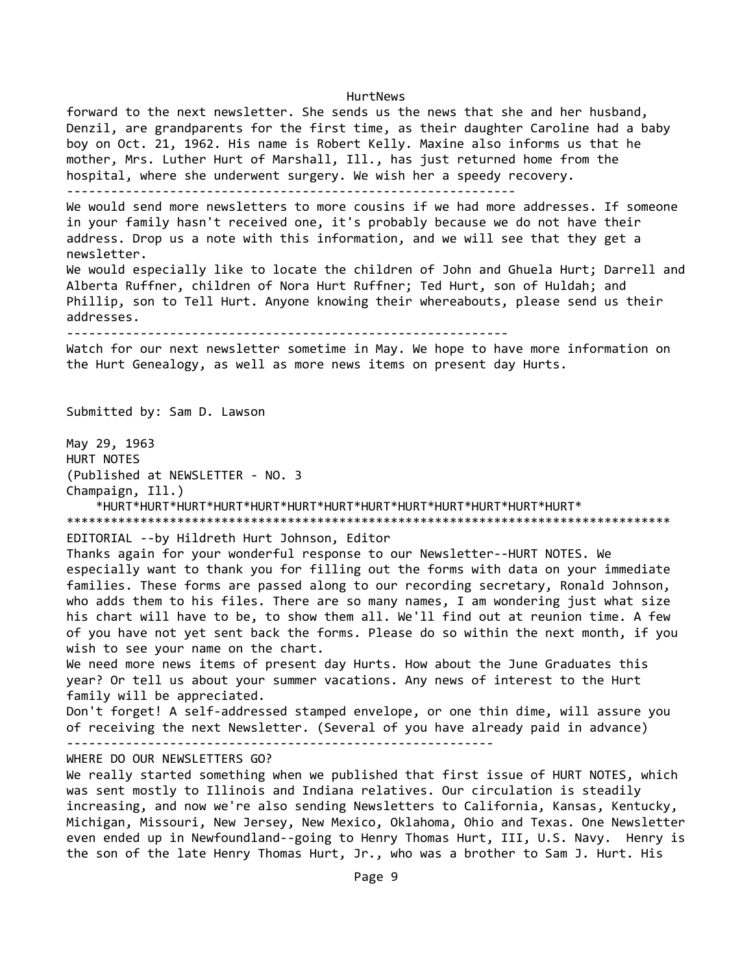forward to the next newsletter. She sends us the news that she and her husband, Denzil, are grandparents for the first time, as their daughter Caroline had a baby boy on Oct. 21, 1962. His name is Robert Kelly. Maxine also informs us that he mother, Mrs. Luther Hurt of Marshall, Ill., has just returned home from the hospital, where she underwent surgery. We wish her a speedy recovery. ------------------------------------------------------------- We would send more newsletters to more cousins if we had more addresses. If someone in your family hasn't received one, it's probably because we do not have their address. Drop us a note with this information, and we will see that they get a newsletter.

We would especially like to locate the children of John and Ghuela Hurt; Darrell and Alberta Ruffner, children of Nora Hurt Ruffner; Ted Hurt, son of Huldah; and Phillip, son to Tell Hurt. Anyone knowing their whereabouts, please send us their addresses.

------------------------------------------------------------

Watch for our next newsletter sometime in May. We hope to have more information on the Hurt Genealogy, as well as more news items on present day Hurts.

Submitted by: Sam D. Lawson

May 29, 1963 HURT NOTES (Published at NEWSLETTER - NO. 3 Champaign, Ill.) \*HURT\*HURT\*HURT\*HURT\*HURT\*HURT\*HURT\*HURT\*HURT\*HURT\*HURT\*HURT\*HURT\* \*\*\*\*\*\*\*\*\*\*\*\*\*\*\*\*\*\*\*\*\*\*\*\*\*\*\*\*\*\*\*\*\*\*\*\*\*\*\*\*\*\*\*\*\*\*\*\*\*\*\*\*\*\*\*\*\*\*\*\*\*\*\*\*\*\*\*\*\*\*\*\*\*\*\*\*\*\*\*\*\*\* EDITORIAL --by Hildreth Hurt Johnson, Editor Thanks again for your wonderful response to our Newsletter--HURT NOTES. We

especially want to thank you for filling out the forms with data on your immediate families. These forms are passed along to our recording secretary, Ronald Johnson, who adds them to his files. There are so many names, I am wondering just what size his chart will have to be, to show them all. We'll find out at reunion time. A few of you have not yet sent back the forms. Please do so within the next month, if you wish to see your name on the chart.

We need more news items of present day Hurts. How about the June Graduates this year? Or tell us about your summer vacations. Any news of interest to the Hurt family will be appreciated.

Don't forget! A self-addressed stamped envelope, or one thin dime, will assure you of receiving the next Newsletter. (Several of you have already paid in advance)

----------------------------------------------------------

WHERE DO OUR NEWSLETTERS GO?

We really started something when we published that first issue of HURT NOTES, which was sent mostly to Illinois and Indiana relatives. Our circulation is steadily increasing, and now we're also sending Newsletters to California, Kansas, Kentucky, Michigan, Missouri, New Jersey, New Mexico, Oklahoma, Ohio and Texas. One Newsletter even ended up in Newfoundland--going to Henry Thomas Hurt, III, U.S. Navy. Henry is the son of the late Henry Thomas Hurt, Jr., who was a brother to Sam J. Hurt. His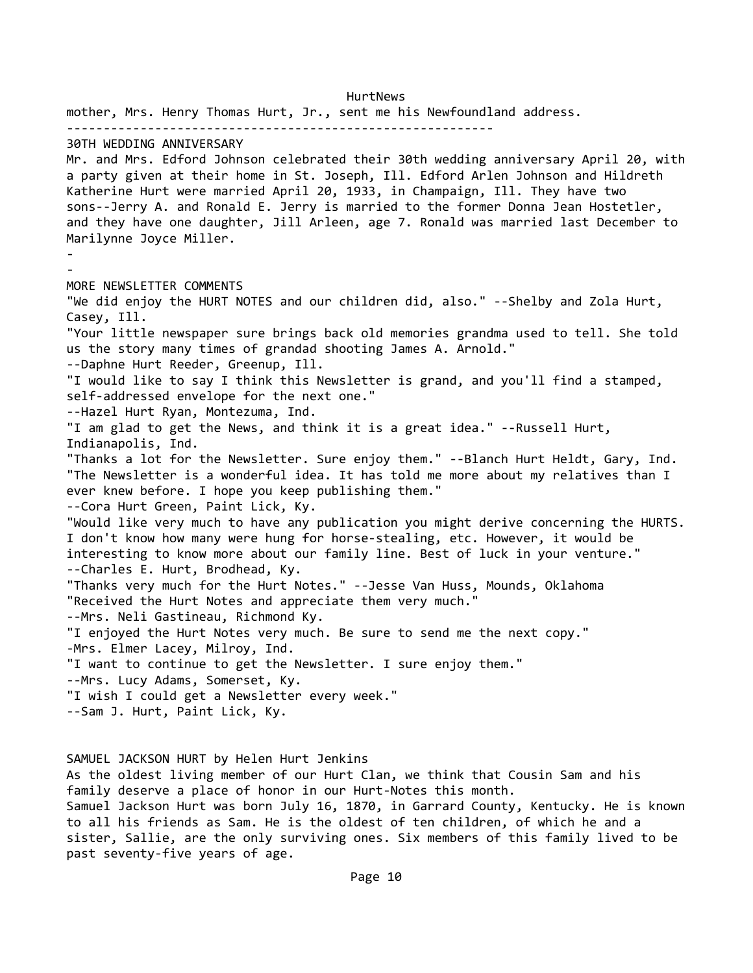HurtNews mother, Mrs. Henry Thomas Hurt, Jr., sent me his Newfoundland address. ---------------------------------------------------------- 30TH WEDDING ANNIVERSARY Mr. and Mrs. Edford Johnson celebrated their 30th wedding anniversary April 20, with a party given at their home in St. Joseph, Ill. Edford Arlen Johnson and Hildreth Katherine Hurt were married April 20, 1933, in Champaign, Ill. They have two sons--Jerry A. and Ronald E. Jerry is married to the former Donna Jean Hostetler, and they have one daughter, Jill Arleen, age 7. Ronald was married last December to Marilynne Joyce Miller. - - MORE NEWSLETTER COMMENTS "We did enjoy the HURT NOTES and our children did, also." --Shelby and Zola Hurt, Casey, Ill. "Your little newspaper sure brings back old memories grandma used to tell. She told us the story many times of grandad shooting James A. Arnold." --Daphne Hurt Reeder, Greenup, Ill. "I would like to say I think this Newsletter is grand, and you'll find a stamped, self-addressed envelope for the next one." --Hazel Hurt Ryan, Montezuma, Ind. "I am glad to get the News, and think it is a great idea." --Russell Hurt, Indianapolis, Ind. "Thanks a lot for the Newsletter. Sure enjoy them." --Blanch Hurt Heldt, Gary, Ind. "The Newsletter is a wonderful idea. It has told me more about my relatives than I ever knew before. I hope you keep publishing them." --Cora Hurt Green, Paint Lick, Ky. "Would like very much to have any publication you might derive concerning the HURTS. I don't know how many were hung for horse-stealing, etc. However, it would be interesting to know more about our family line. Best of luck in your venture." --Charles E. Hurt, Brodhead, Ky. "Thanks very much for the Hurt Notes." --Jesse Van Huss, Mounds, Oklahoma "Received the Hurt Notes and appreciate them very much." --Mrs. Neli Gastineau, Richmond Ky. "I enjoyed the Hurt Notes very much. Be sure to send me the next copy." -Mrs. Elmer Lacey, Milroy, Ind. "I want to continue to get the Newsletter. I sure enjoy them." --Mrs. Lucy Adams, Somerset, Ky. "I wish I could get a Newsletter every week." --Sam J. Hurt, Paint Lick, Ky.

SAMUEL JACKSON HURT by Helen Hurt Jenkins As the oldest living member of our Hurt Clan, we think that Cousin Sam and his family deserve a place of honor in our Hurt-Notes this month. Samuel Jackson Hurt was born July 16, 1870, in Garrard County, Kentucky. He is known to all his friends as Sam. He is the oldest of ten children, of which he and a sister, Sallie, are the only surviving ones. Six members of this family lived to be past seventy-five years of age.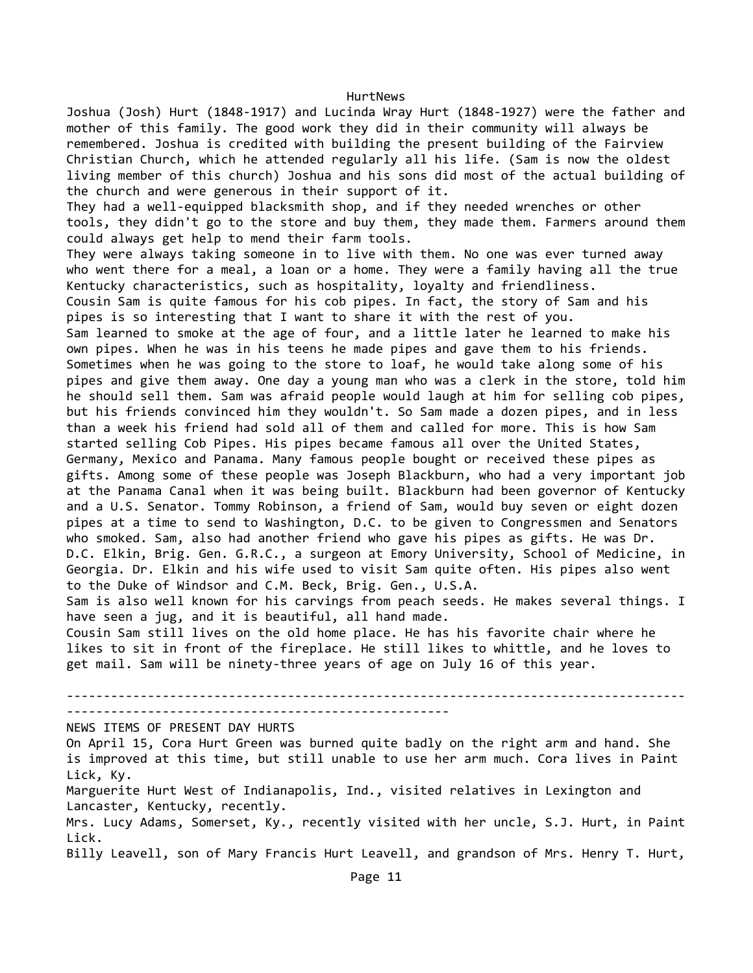Joshua (Josh) Hurt (1848-1917) and Lucinda Wray Hurt (1848-1927) were the father and mother of this family. The good work they did in their community will always be remembered. Joshua is credited with building the present building of the Fairview Christian Church, which he attended regularly all his life. (Sam is now the oldest living member of this church) Joshua and his sons did most of the actual building of the church and were generous in their support of it. They had a well-equipped blacksmith shop, and if they needed wrenches or other tools, they didn't go to the store and buy them, they made them. Farmers around them could always get help to mend their farm tools. They were always taking someone in to live with them. No one was ever turned away who went there for a meal, a loan or a home. They were a family having all the true Kentucky characteristics, such as hospitality, loyalty and friendliness. Cousin Sam is quite famous for his cob pipes. In fact, the story of Sam and his pipes is so interesting that I want to share it with the rest of you. Sam learned to smoke at the age of four, and a little later he learned to make his own pipes. When he was in his teens he made pipes and gave them to his friends. Sometimes when he was going to the store to loaf, he would take along some of his pipes and give them away. One day a young man who was a clerk in the store, told him he should sell them. Sam was afraid people would laugh at him for selling cob pipes, but his friends convinced him they wouldn't. So Sam made a dozen pipes, and in less than a week his friend had sold all of them and called for more. This is how Sam started selling Cob Pipes. His pipes became famous all over the United States, Germany, Mexico and Panama. Many famous people bought or received these pipes as gifts. Among some of these people was Joseph Blackburn, who had a very important job at the Panama Canal when it was being built. Blackburn had been governor of Kentucky and a U.S. Senator. Tommy Robinson, a friend of Sam, would buy seven or eight dozen pipes at a time to send to Washington, D.C. to be given to Congressmen and Senators who smoked. Sam, also had another friend who gave his pipes as gifts. He was Dr. D.C. Elkin, Brig. Gen. G.R.C., a surgeon at Emory University, School of Medicine, in Georgia. Dr. Elkin and his wife used to visit Sam quite often. His pipes also went to the Duke of Windsor and C.M. Beck, Brig. Gen., U.S.A.

Sam is also well known for his carvings from peach seeds. He makes several things. I have seen a jug, and it is beautiful, all hand made.

Cousin Sam still lives on the old home place. He has his favorite chair where he likes to sit in front of the fireplace. He still likes to whittle, and he loves to get mail. Sam will be ninety-three years of age on July 16 of this year.

------------------------------------------------------------------------------------ ----------------------------------------------------

NEWS ITEMS OF PRESENT DAY HURTS

On April 15, Cora Hurt Green was burned quite badly on the right arm and hand. She is improved at this time, but still unable to use her arm much. Cora lives in Paint Lick, Ky.

Marguerite Hurt West of Indianapolis, Ind., visited relatives in Lexington and Lancaster, Kentucky, recently.

Mrs. Lucy Adams, Somerset, Ky., recently visited with her uncle, S.J. Hurt, in Paint Lick.

Billy Leavell, son of Mary Francis Hurt Leavell, and grandson of Mrs. Henry T. Hurt,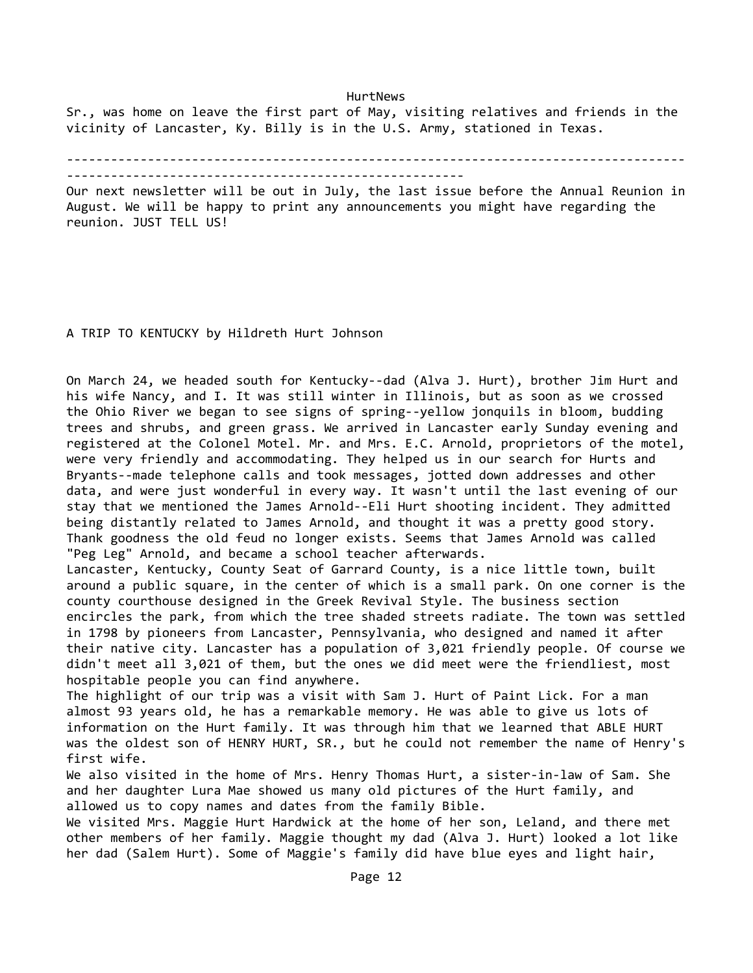HurtNews Sr., was home on leave the first part of May, visiting relatives and friends in the vicinity of Lancaster, Ky. Billy is in the U.S. Army, stationed in Texas.

------------------------------------------------------------------------------------

Our next newsletter will be out in July, the last issue before the Annual Reunion in August. We will be happy to print any announcements you might have regarding the reunion. JUST TELL US!

A TRIP TO KENTUCKY by Hildreth Hurt Johnson

------------------------------------------------------

On March 24, we headed south for Kentucky--dad (Alva J. Hurt), brother Jim Hurt and his wife Nancy, and I. It was still winter in Illinois, but as soon as we crossed the Ohio River we began to see signs of spring--yellow jonquils in bloom, budding trees and shrubs, and green grass. We arrived in Lancaster early Sunday evening and registered at the Colonel Motel. Mr. and Mrs. E.C. Arnold, proprietors of the motel, were very friendly and accommodating. They helped us in our search for Hurts and Bryants--made telephone calls and took messages, jotted down addresses and other data, and were just wonderful in every way. It wasn't until the last evening of our stay that we mentioned the James Arnold--Eli Hurt shooting incident. They admitted being distantly related to James Arnold, and thought it was a pretty good story. Thank goodness the old feud no longer exists. Seems that James Arnold was called "Peg Leg" Arnold, and became a school teacher afterwards.

Lancaster, Kentucky, County Seat of Garrard County, is a nice little town, built around a public square, in the center of which is a small park. On one corner is the county courthouse designed in the Greek Revival Style. The business section encircles the park, from which the tree shaded streets radiate. The town was settled in 1798 by pioneers from Lancaster, Pennsylvania, who designed and named it after their native city. Lancaster has a population of 3,021 friendly people. Of course we didn't meet all 3,021 of them, but the ones we did meet were the friendliest, most hospitable people you can find anywhere.

The highlight of our trip was a visit with Sam J. Hurt of Paint Lick. For a man almost 93 years old, he has a remarkable memory. He was able to give us lots of information on the Hurt family. It was through him that we learned that ABLE HURT was the oldest son of HENRY HURT, SR., but he could not remember the name of Henry's first wife.

We also visited in the home of Mrs. Henry Thomas Hurt, a sister-in-law of Sam. She and her daughter Lura Mae showed us many old pictures of the Hurt family, and allowed us to copy names and dates from the family Bible.

We visited Mrs. Maggie Hurt Hardwick at the home of her son, Leland, and there met other members of her family. Maggie thought my dad (Alva J. Hurt) looked a lot like her dad (Salem Hurt). Some of Maggie's family did have blue eyes and light hair,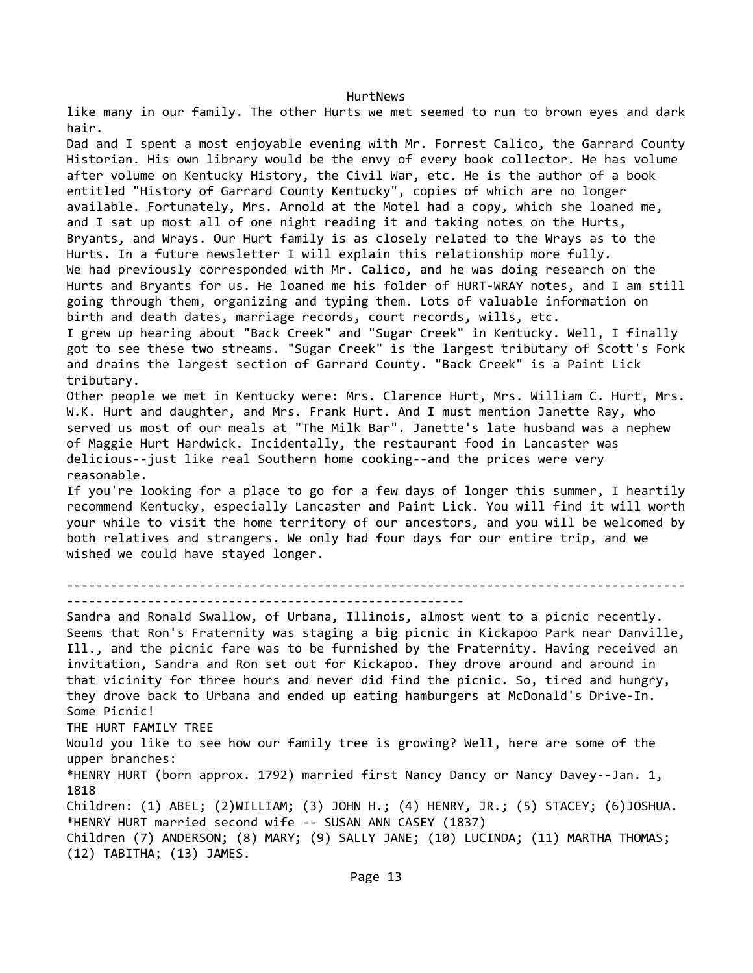like many in our family. The other Hurts we met seemed to run to brown eyes and dark hair. Dad and I spent a most enjoyable evening with Mr. Forrest Calico, the Garrard County Historian. His own library would be the envy of every book collector. He has volume after volume on Kentucky History, the Civil War, etc. He is the author of a book entitled "History of Garrard County Kentucky", copies of which are no longer available. Fortunately, Mrs. Arnold at the Motel had a copy, which she loaned me, and I sat up most all of one night reading it and taking notes on the Hurts, Bryants, and Wrays. Our Hurt family is as closely related to the Wrays as to the Hurts. In a future newsletter I will explain this relationship more fully. We had previously corresponded with Mr. Calico, and he was doing research on the Hurts and Bryants for us. He loaned me his folder of HURT-WRAY notes, and I am still going through them, organizing and typing them. Lots of valuable information on birth and death dates, marriage records, court records, wills, etc. I grew up hearing about "Back Creek" and "Sugar Creek" in Kentucky. Well, I finally got to see these two streams. "Sugar Creek" is the largest tributary of Scott's Fork and drains the largest section of Garrard County. "Back Creek" is a Paint Lick tributary. Other people we met in Kentucky were: Mrs. Clarence Hurt, Mrs. William C. Hurt, Mrs. W.K. Hurt and daughter, and Mrs. Frank Hurt. And I must mention Janette Ray, who served us most of our meals at "The Milk Bar". Janette's late husband was a nephew of Maggie Hurt Hardwick. Incidentally, the restaurant food in Lancaster was delicious--just like real Southern home cooking--and the prices were very reasonable. If you're looking for a place to go for a few days of longer this summer, I heartily recommend Kentucky, especially Lancaster and Paint Lick. You will find it will worth your while to visit the home territory of our ancestors, and you will be welcomed by both relatives and strangers. We only had four days for our entire trip, and we wished we could have stayed longer. ------------------------------------------------------------------------------------ ------------------------------------------------------ Sandra and Ronald Swallow, of Urbana, Illinois, almost went to a picnic recently. Seems that Ron's Fraternity was staging a big picnic in Kickapoo Park near Danville, Ill., and the picnic fare was to be furnished by the Fraternity. Having received an invitation, Sandra and Ron set out for Kickapoo. They drove around and around in that vicinity for three hours and never did find the picnic. So, tired and hungry, they drove back to Urbana and ended up eating hamburgers at McDonald's Drive-In. Some Picnic! THE HURT FAMILY TREE Would you like to see how our family tree is growing? Well, here are some of the upper branches: \*HENRY HURT (born approx. 1792) married first Nancy Dancy or Nancy Davey--Jan. 1, 1818 Children: (1) ABEL; (2)WILLIAM; (3) JOHN H.; (4) HENRY, JR.; (5) STACEY; (6)JOSHUA. \*HENRY HURT married second wife -- SUSAN ANN CASEY (1837) Children (7) ANDERSON; (8) MARY; (9) SALLY JANE; (10) LUCINDA; (11) MARTHA THOMAS; (12) TABITHA; (13) JAMES.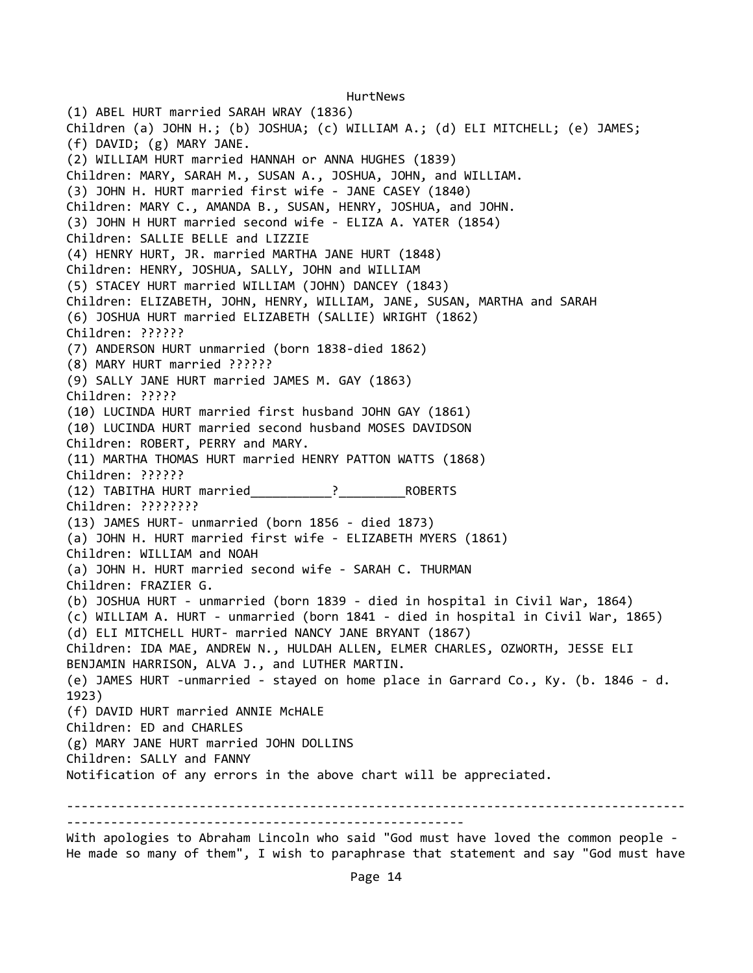HurtNews (1) ABEL HURT married SARAH WRAY (1836) Children (a) JOHN H.; (b) JOSHUA; (c) WILLIAM A.; (d) ELI MITCHELL; (e) JAMES; (f) DAVID; (g) MARY JANE. (2) WILLIAM HURT married HANNAH or ANNA HUGHES (1839) Children: MARY, SARAH M., SUSAN A., JOSHUA, JOHN, and WILLIAM. (3) JOHN H. HURT married first wife - JANE CASEY (1840) Children: MARY C., AMANDA B., SUSAN, HENRY, JOSHUA, and JOHN. (3) JOHN H HURT married second wife - ELIZA A. YATER (1854) Children: SALLIE BELLE and LIZZIE (4) HENRY HURT, JR. married MARTHA JANE HURT (1848) Children: HENRY, JOSHUA, SALLY, JOHN and WILLIAM (5) STACEY HURT married WILLIAM (JOHN) DANCEY (1843) Children: ELIZABETH, JOHN, HENRY, WILLIAM, JANE, SUSAN, MARTHA and SARAH (6) JOSHUA HURT married ELIZABETH (SALLIE) WRIGHT (1862) Children: ?????? (7) ANDERSON HURT unmarried (born 1838-died 1862) (8) MARY HURT married ?????? (9) SALLY JANE HURT married JAMES M. GAY (1863) Children: ????? (10) LUCINDA HURT married first husband JOHN GAY (1861) (10) LUCINDA HURT married second husband MOSES DAVIDSON Children: ROBERT, PERRY and MARY. (11) MARTHA THOMAS HURT married HENRY PATTON WATTS (1868) Children: ?????? (12) TABITHA HURT married\_\_\_\_\_\_\_\_\_\_\_?\_\_\_\_\_\_\_\_\_ROBERTS Children: ???????? (13) JAMES HURT- unmarried (born 1856 - died 1873) (a) JOHN H. HURT married first wife - ELIZABETH MYERS (1861) Children: WILLIAM and NOAH (a) JOHN H. HURT married second wife - SARAH C. THURMAN Children: FRAZIER G. (b) JOSHUA HURT - unmarried (born 1839 - died in hospital in Civil War, 1864) (c) WILLIAM A. HURT - unmarried (born 1841 - died in hospital in Civil War, 1865) (d) ELI MITCHELL HURT- married NANCY JANE BRYANT (1867) Children: IDA MAE, ANDREW N., HULDAH ALLEN, ELMER CHARLES, OZWORTH, JESSE ELI BENJAMIN HARRISON, ALVA J., and LUTHER MARTIN. (e) JAMES HURT -unmarried - stayed on home place in Garrard Co., Ky. (b. 1846 - d. 1923) (f) DAVID HURT married ANNIE McHALE Children: ED and CHARLES (g) MARY JANE HURT married JOHN DOLLINS Children: SALLY and FANNY Notification of any errors in the above chart will be appreciated. ------------------------------------------------------------------------------------ ------------------------------------------------------

With apologies to Abraham Lincoln who said "God must have loved the common people - He made so many of them", I wish to paraphrase that statement and say "God must have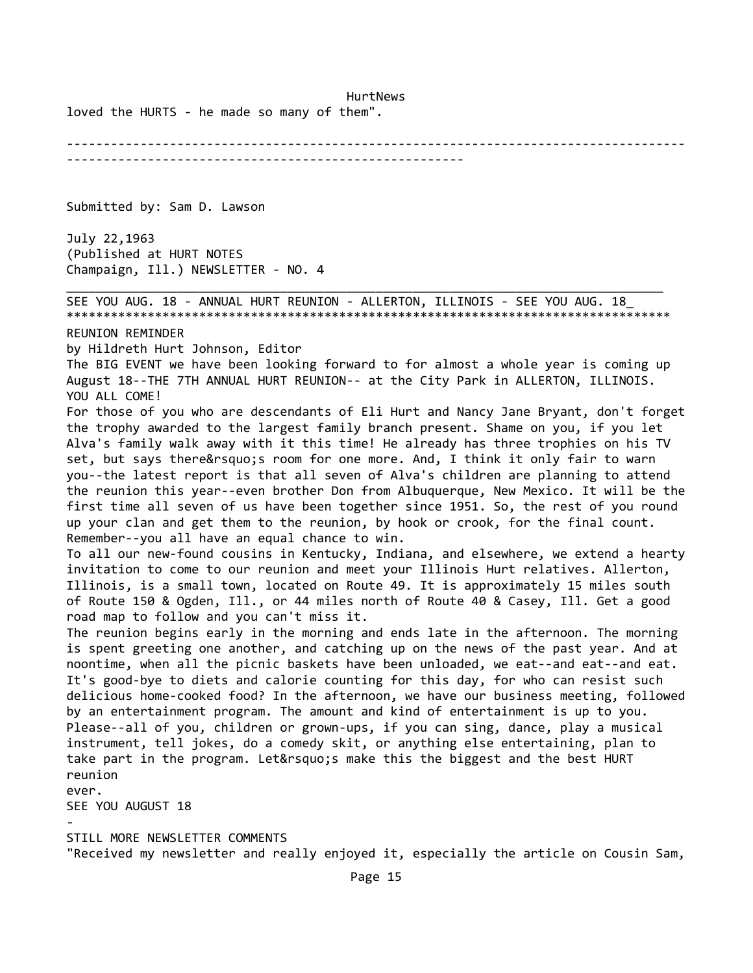loved the HURTS - he made so many of them".

------------------------------------------------------------------------------------ ------------------------------------------------------

Submitted by: Sam D. Lawson

July 22,1963 (Published at HURT NOTES Champaign, Ill.) NEWSLETTER - NO. 4

\_\_\_\_\_\_\_\_\_\_\_\_\_\_\_\_\_\_\_\_\_\_\_\_\_\_\_\_\_\_\_\_\_\_\_\_\_\_\_\_\_\_\_\_\_\_\_\_\_\_\_\_\_\_\_\_\_\_\_\_\_\_\_\_\_\_\_\_\_\_\_\_\_\_\_\_\_\_\_\_\_ SEE YOU AUG. 18 - ANNUAL HURT REUNION - ALLERTON, ILLINOIS - SEE YOU AUG. 18\_ \*\*\*\*\*\*\*\*\*\*\*\*\*\*\*\*\*\*\*\*\*\*\*\*\*\*\*\*\*\*\*\*\*\*\*\*\*\*\*\*\*\*\*\*\*\*\*\*\*\*\*\*\*\*\*\*\*\*\*\*\*\*\*\*\*\*\*\*\*\*\*\*\*\*\*\*\*\*\*\*\*\*

REUNION REMINDER

by Hildreth Hurt Johnson, Editor

The BIG EVENT we have been looking forward to for almost a whole year is coming up August 18--THE 7TH ANNUAL HURT REUNION-- at the City Park in ALLERTON, ILLINOIS. YOU ALL COME!

For those of you who are descendants of Eli Hurt and Nancy Jane Bryant, don't forget the trophy awarded to the largest family branch present. Shame on you, if you let Alva's family walk away with it this time! He already has three trophies on his TV set, but says there' sroom for one more. And, I think it only fair to warn you--the latest report is that all seven of Alva's children are planning to attend the reunion this year--even brother Don from Albuquerque, New Mexico. It will be the first time all seven of us have been together since 1951. So, the rest of you round up your clan and get them to the reunion, by hook or crook, for the final count. Remember--you all have an equal chance to win.

To all our new-found cousins in Kentucky, Indiana, and elsewhere, we extend a hearty invitation to come to our reunion and meet your Illinois Hurt relatives. Allerton, Illinois, is a small town, located on Route 49. It is approximately 15 miles south of Route 150 & Ogden, Ill., or 44 miles north of Route 40 & Casey, Ill. Get a good road map to follow and you can't miss it.

The reunion begins early in the morning and ends late in the afternoon. The morning is spent greeting one another, and catching up on the news of the past year. And at noontime, when all the picnic baskets have been unloaded, we eat--and eat--and eat. It's good-bye to diets and calorie counting for this day, for who can resist such delicious home-cooked food? In the afternoon, we have our business meeting, followed by an entertainment program. The amount and kind of entertainment is up to you. Please--all of you, children or grown-ups, if you can sing, dance, play a musical instrument, tell jokes, do a comedy skit, or anything else entertaining, plan to take part in the program. Let's make this the biggest and the best HURT reunion

ever.

SEE YOU AUGUST 18

-

STILL MORE NEWSLETTER COMMENTS

"Received my newsletter and really enjoyed it, especially the article on Cousin Sam,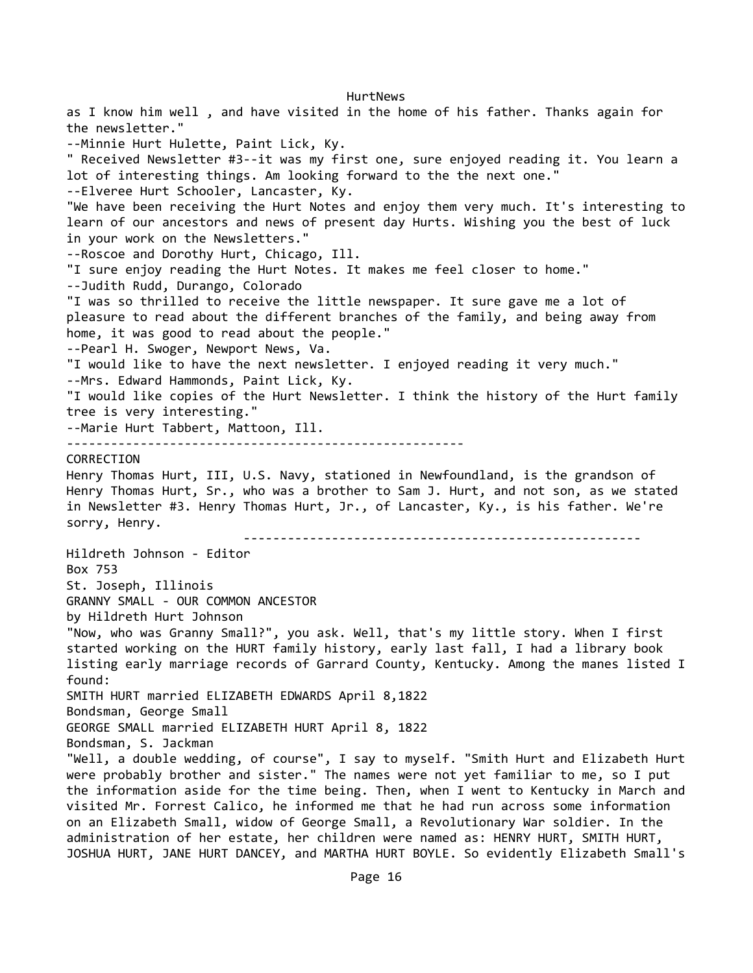HurtNews as I know him well , and have visited in the home of his father. Thanks again for the newsletter." --Minnie Hurt Hulette, Paint Lick, Ky. " Received Newsletter #3--it was my first one, sure enjoyed reading it. You learn a lot of interesting things. Am looking forward to the the next one." --Elveree Hurt Schooler, Lancaster, Ky. "We have been receiving the Hurt Notes and enjoy them very much. It's interesting to learn of our ancestors and news of present day Hurts. Wishing you the best of luck in your work on the Newsletters." --Roscoe and Dorothy Hurt, Chicago, Ill. "I sure enjoy reading the Hurt Notes. It makes me feel closer to home." --Judith Rudd, Durango, Colorado "I was so thrilled to receive the little newspaper. It sure gave me a lot of pleasure to read about the different branches of the family, and being away from home, it was good to read about the people." --Pearl H. Swoger, Newport News, Va. "I would like to have the next newsletter. I enjoyed reading it very much." --Mrs. Edward Hammonds, Paint Lick, Ky. "I would like copies of the Hurt Newsletter. I think the history of the Hurt family tree is very interesting." --Marie Hurt Tabbert, Mattoon, Ill. ------------------------------------------------------ CORRECTION Henry Thomas Hurt, III, U.S. Navy, stationed in Newfoundland, is the grandson of Henry Thomas Hurt, Sr., who was a brother to Sam J. Hurt, and not son, as we stated in Newsletter #3. Henry Thomas Hurt, Jr., of Lancaster, Ky., is his father. We're sorry, Henry. ------------------------------------------------------ Hildreth Johnson - Editor Box 753 St. Joseph, Illinois GRANNY SMALL - OUR COMMON ANCESTOR by Hildreth Hurt Johnson "Now, who was Granny Small?", you ask. Well, that's my little story. When I first started working on the HURT family history, early last fall, I had a library book listing early marriage records of Garrard County, Kentucky. Among the manes listed I found: SMITH HURT married ELIZABETH EDWARDS April 8,1822 Bondsman, George Small GEORGE SMALL married ELIZABETH HURT April 8, 1822 Bondsman, S. Jackman "Well, a double wedding, of course", I say to myself. "Smith Hurt and Elizabeth Hurt were probably brother and sister." The names were not yet familiar to me, so I put the information aside for the time being. Then, when I went to Kentucky in March and visited Mr. Forrest Calico, he informed me that he had run across some information on an Elizabeth Small, widow of George Small, a Revolutionary War soldier. In the administration of her estate, her children were named as: HENRY HURT, SMITH HURT, JOSHUA HURT, JANE HURT DANCEY, and MARTHA HURT BOYLE. So evidently Elizabeth Small's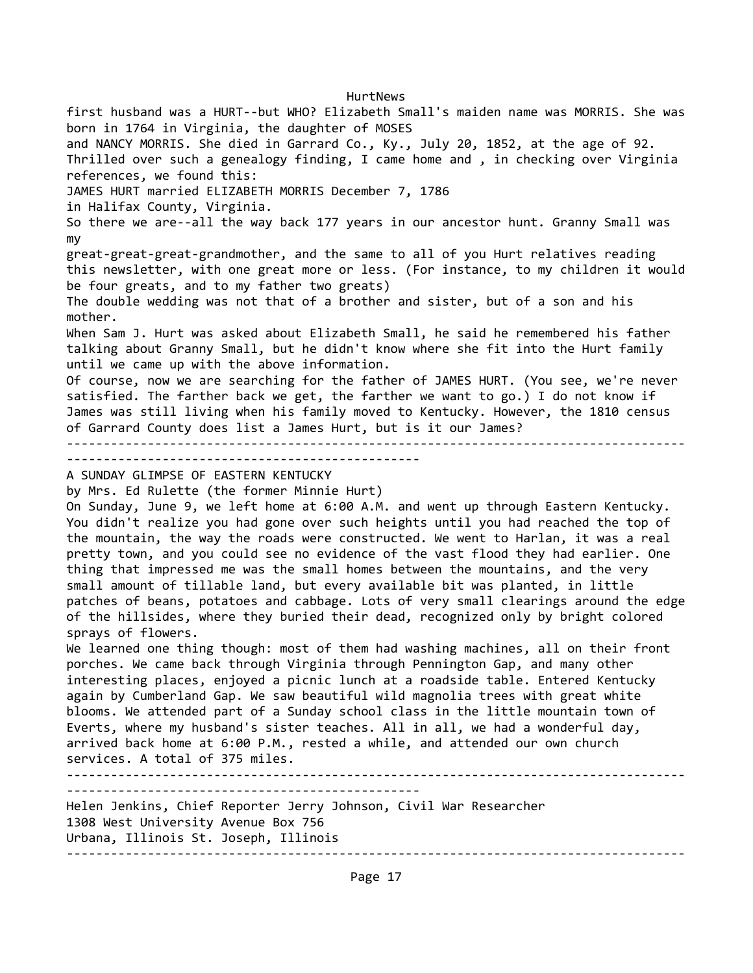HurtNews first husband was a HURT--but WHO? Elizabeth Small's maiden name was MORRIS. She was born in 1764 in Virginia, the daughter of MOSES and NANCY MORRIS. She died in Garrard Co., Ky., July 20, 1852, at the age of 92. Thrilled over such a genealogy finding, I came home and , in checking over Virginia references, we found this: JAMES HURT married ELIZABETH MORRIS December 7, 1786 in Halifax County, Virginia. So there we are--all the way back 177 years in our ancestor hunt. Granny Small was my great-great-great-grandmother, and the same to all of you Hurt relatives reading this newsletter, with one great more or less. (For instance, to my children it would be four greats, and to my father two greats) The double wedding was not that of a brother and sister, but of a son and his mother. When Sam J. Hurt was asked about Elizabeth Small, he said he remembered his father talking about Granny Small, but he didn't know where she fit into the Hurt family until we came up with the above information. Of course, now we are searching for the father of JAMES HURT. (You see, we're never satisfied. The farther back we get, the farther we want to go.) I do not know if James was still living when his family moved to Kentucky. However, the 1810 census of Garrard County does list a James Hurt, but is it our James? ------------------------------------------------------------------------------------ ------------------------------------------------ A SUNDAY GLIMPSE OF EASTERN KENTUCKY by Mrs. Ed Rulette (the former Minnie Hurt) On Sunday, June 9, we left home at 6:00 A.M. and went up through Eastern Kentucky. You didn't realize you had gone over such heights until you had reached the top of the mountain, the way the roads were constructed. We went to Harlan, it was a real pretty town, and you could see no evidence of the vast flood they had earlier. One thing that impressed me was the small homes between the mountains, and the very small amount of tillable land, but every available bit was planted, in little patches of beans, potatoes and cabbage. Lots of very small clearings around the edge of the hillsides, where they buried their dead, recognized only by bright colored sprays of flowers. We learned one thing though: most of them had washing machines, all on their front porches. We came back through Virginia through Pennington Gap, and many other interesting places, enjoyed a picnic lunch at a roadside table. Entered Kentucky again by Cumberland Gap. We saw beautiful wild magnolia trees with great white blooms. We attended part of a Sunday school class in the little mountain town of Everts, where my husband's sister teaches. All in all, we had a wonderful day, arrived back home at 6:00 P.M., rested a while, and attended our own church services. A total of 375 miles. ------------------------------------------------------------------------------------ ------------------------------------------------ Helen Jenkins, Chief Reporter Jerry Johnson, Civil War Researcher 1308 West University Avenue Box 756 Urbana, Illinois St. Joseph, Illinois

Page 17

------------------------------------------------------------------------------------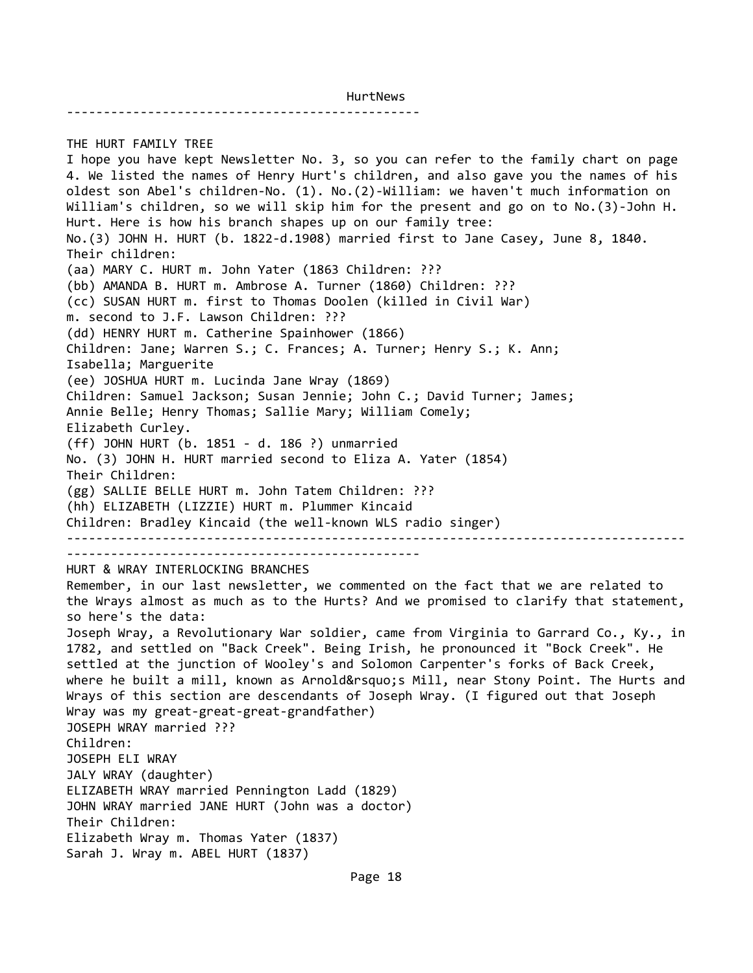------------------------------------------------

THE HURT FAMILY TREE I hope you have kept Newsletter No. 3, so you can refer to the family chart on page 4. We listed the names of Henry Hurt's children, and also gave you the names of his oldest son Abel's children-No. (1). No.(2)-William: we haven't much information on William's children, so we will skip him for the present and go on to No.(3)-John H. Hurt. Here is how his branch shapes up on our family tree: No.(3) JOHN H. HURT (b. 1822-d.1908) married first to Jane Casey, June 8, 1840. Their children: (aa) MARY C. HURT m. John Yater (1863 Children: ??? (bb) AMANDA B. HURT m. Ambrose A. Turner (1860) Children: ??? (cc) SUSAN HURT m. first to Thomas Doolen (killed in Civil War) m. second to J.F. Lawson Children: ??? (dd) HENRY HURT m. Catherine Spainhower (1866) Children: Jane; Warren S.; C. Frances; A. Turner; Henry S.; K. Ann; Isabella; Marguerite (ee) JOSHUA HURT m. Lucinda Jane Wray (1869) Children: Samuel Jackson; Susan Jennie; John C.; David Turner; James; Annie Belle; Henry Thomas; Sallie Mary; William Comely; Elizabeth Curley. (ff) JOHN HURT (b. 1851 - d. 186 ?) unmarried No. (3) JOHN H. HURT married second to Eliza A. Yater (1854) Their Children: (gg) SALLIE BELLE HURT m. John Tatem Children: ??? (hh) ELIZABETH (LIZZIE) HURT m. Plummer Kincaid Children: Bradley Kincaid (the well-known WLS radio singer) ------------------------------------------------------------------------------------ ------------------------------------------------ HURT & WRAY INTERLOCKING BRANCHES Remember, in our last newsletter, we commented on the fact that we are related to the Wrays almost as much as to the Hurts? And we promised to clarify that statement, so here's the data: Joseph Wray, a Revolutionary War soldier, came from Virginia to Garrard Co., Ky., in 1782, and settled on "Back Creek". Being Irish, he pronounced it "Bock Creek". He settled at the junction of Wooley's and Solomon Carpenter's forks of Back Creek, where he built a mill, known as Arnold's Mill, near Stony Point. The Hurts and Wrays of this section are descendants of Joseph Wray. (I figured out that Joseph Wray was my great-great-great-grandfather) JOSEPH WRAY married ??? Children: JOSEPH ELI WRAY JALY WRAY (daughter) ELIZABETH WRAY married Pennington Ladd (1829) JOHN WRAY married JANE HURT (John was a doctor) Their Children: Elizabeth Wray m. Thomas Yater (1837) Sarah J. Wray m. ABEL HURT (1837)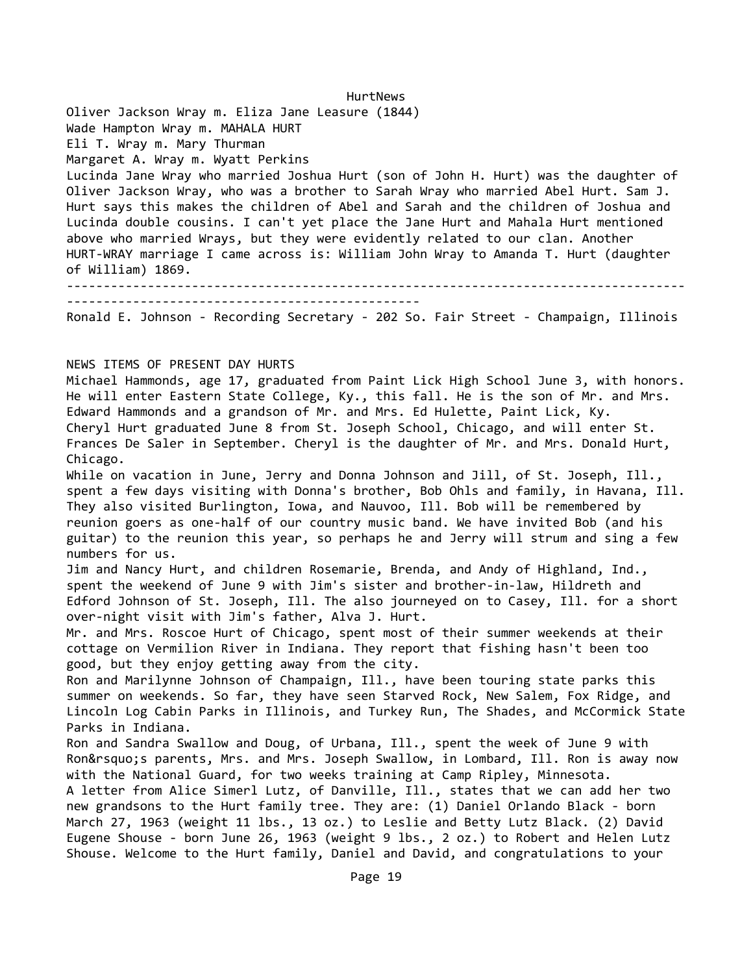HurtNews Oliver Jackson Wray m. Eliza Jane Leasure (1844) Wade Hampton Wray m. MAHALA HURT Eli T. Wray m. Mary Thurman Margaret A. Wray m. Wyatt Perkins Lucinda Jane Wray who married Joshua Hurt (son of John H. Hurt) was the daughter of Oliver Jackson Wray, who was a brother to Sarah Wray who married Abel Hurt. Sam J. Hurt says this makes the children of Abel and Sarah and the children of Joshua and Lucinda double cousins. I can't yet place the Jane Hurt and Mahala Hurt mentioned above who married Wrays, but they were evidently related to our clan. Another HURT-WRAY marriage I came across is: William John Wray to Amanda T. Hurt (daughter of William) 1869. ------------------------------------------------------------------------------------ ------------------------------------------------ Ronald E. Johnson - Recording Secretary - 202 So. Fair Street - Champaign, Illinois NEWS ITEMS OF PRESENT DAY HURTS Michael Hammonds, age 17, graduated from Paint Lick High School June 3, with honors. He will enter Eastern State College, Ky., this fall. He is the son of Mr. and Mrs. Edward Hammonds and a grandson of Mr. and Mrs. Ed Hulette, Paint Lick, Ky. Cheryl Hurt graduated June 8 from St. Joseph School, Chicago, and will enter St. Frances De Saler in September. Cheryl is the daughter of Mr. and Mrs. Donald Hurt, Chicago. While on vacation in June, Jerry and Donna Johnson and Jill, of St. Joseph, Ill., spent a few days visiting with Donna's brother, Bob Ohls and family, in Havana, Ill. They also visited Burlington, Iowa, and Nauvoo, Ill. Bob will be remembered by reunion goers as one-half of our country music band. We have invited Bob (and his guitar) to the reunion this year, so perhaps he and Jerry will strum and sing a few numbers for us. Jim and Nancy Hurt, and children Rosemarie, Brenda, and Andy of Highland, Ind., spent the weekend of June 9 with Jim's sister and brother-in-law, Hildreth and Edford Johnson of St. Joseph, Ill. The also journeyed on to Casey, Ill. for a short over-night visit with Jim's father, Alva J. Hurt. Mr. and Mrs. Roscoe Hurt of Chicago, spent most of their summer weekends at their cottage on Vermilion River in Indiana. They report that fishing hasn't been too good, but they enjoy getting away from the city. Ron and Marilynne Johnson of Champaign, Ill., have been touring state parks this summer on weekends. So far, they have seen Starved Rock, New Salem, Fox Ridge, and Lincoln Log Cabin Parks in Illinois, and Turkey Run, The Shades, and McCormick State Parks in Indiana. Ron and Sandra Swallow and Doug, of Urbana, Ill., spent the week of June 9 with Ron's parents, Mrs. and Mrs. Joseph Swallow, in Lombard, Ill. Ron is away now with the National Guard, for two weeks training at Camp Ripley, Minnesota. A letter from Alice Simerl Lutz, of Danville, Ill., states that we can add her two new grandsons to the Hurt family tree. They are: (1) Daniel Orlando Black - born March 27, 1963 (weight 11 lbs., 13 oz.) to Leslie and Betty Lutz Black. (2) David Eugene Shouse - born June 26, 1963 (weight 9 lbs., 2 oz.) to Robert and Helen Lutz Shouse. Welcome to the Hurt family, Daniel and David, and congratulations to your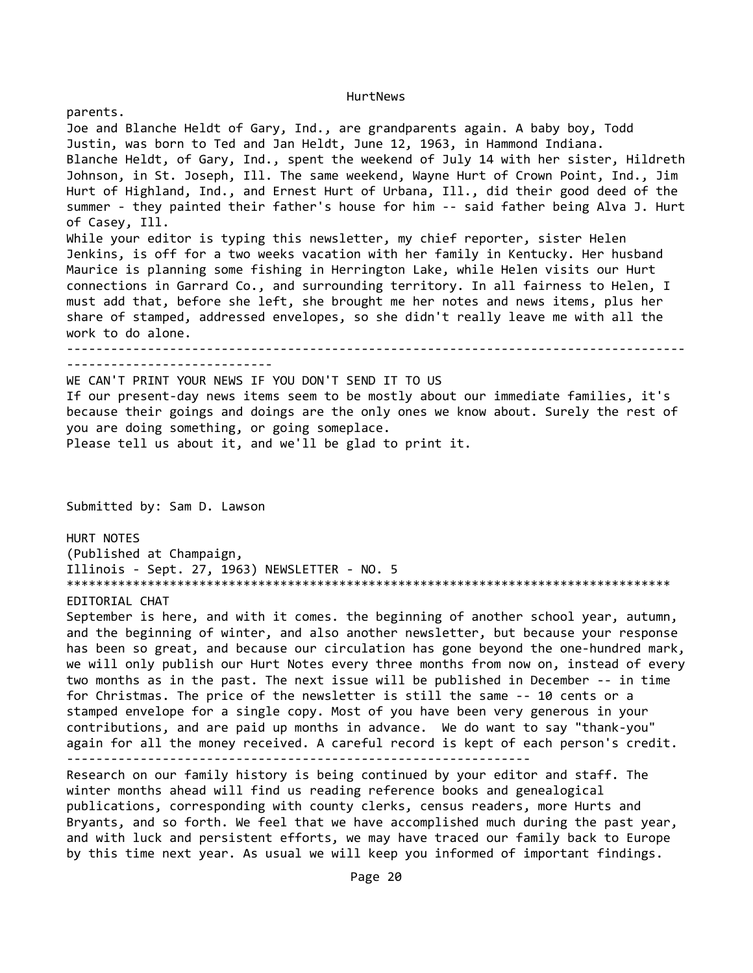parents. Joe and Blanche Heldt of Gary, Ind., are grandparents again. A baby boy, Todd Justin, was born to Ted and Jan Heldt, June 12, 1963, in Hammond Indiana. Blanche Heldt, of Gary, Ind., spent the weekend of July 14 with her sister, Hildreth Johnson, in St. Joseph, Ill. The same weekend, Wayne Hurt of Crown Point, Ind., Jim Hurt of Highland, Ind., and Ernest Hurt of Urbana, Ill., did their good deed of the summer - they painted their father's house for him -- said father being Alva J. Hurt of Casey, Ill. While your editor is typing this newsletter, my chief reporter, sister Helen Jenkins, is off for a two weeks vacation with her family in Kentucky. Her husband Maurice is planning some fishing in Herrington Lake, while Helen visits our Hurt connections in Garrard Co., and surrounding territory. In all fairness to Helen, I must add that, before she left, she brought me her notes and news items, plus her share of stamped, addressed envelopes, so she didn't really leave me with all the work to do alone. ------------------------------------------------------------------------------------ ---------------------------- WE CAN'T PRINT YOUR NEWS IF YOU DON'T SEND IT TO US If our present-day news items seem to be mostly about our immediate families, it's because their goings and doings are the only ones we know about. Surely the rest of you are doing something, or going someplace. Please tell us about it, and we'll be glad to print it. Submitted by: Sam D. Lawson HURT NOTES (Published at Champaign, Illinois - Sept. 27, 1963) NEWSLETTER - NO. 5 \*\*\*\*\*\*\*\*\*\*\*\*\*\*\*\*\*\*\*\*\*\*\*\*\*\*\*\*\*\*\*\*\*\*\*\*\*\*\*\*\*\*\*\*\*\*\*\*\*\*\*\*\*\*\*\*\*\*\*\*\*\*\*\*\*\*\*\*\*\*\*\*\*\*\*\*\*\*\*\*\*\* EDITORIAL CHAT September is here, and with it comes. the beginning of another school year, autumn, and the beginning of winter, and also another newsletter, but because your response has been so great, and because our circulation has gone beyond the one-hundred mark, we will only publish our Hurt Notes every three months from now on, instead of every two months as in the past. The next issue will be published in December -- in time for Christmas. The price of the newsletter is still the same -- 10 cents or a stamped envelope for a single copy. Most of you have been very generous in your contributions, and are paid up months in advance. We do want to say "thank-you" again for all the money received. A careful record is kept of each person's credit. --------------------------------------------------------------- Research on our family history is being continued by your editor and staff. The

winter months ahead will find us reading reference books and genealogical publications, corresponding with county clerks, census readers, more Hurts and Bryants, and so forth. We feel that we have accomplished much during the past year, and with luck and persistent efforts, we may have traced our family back to Europe by this time next year. As usual we will keep you informed of important findings.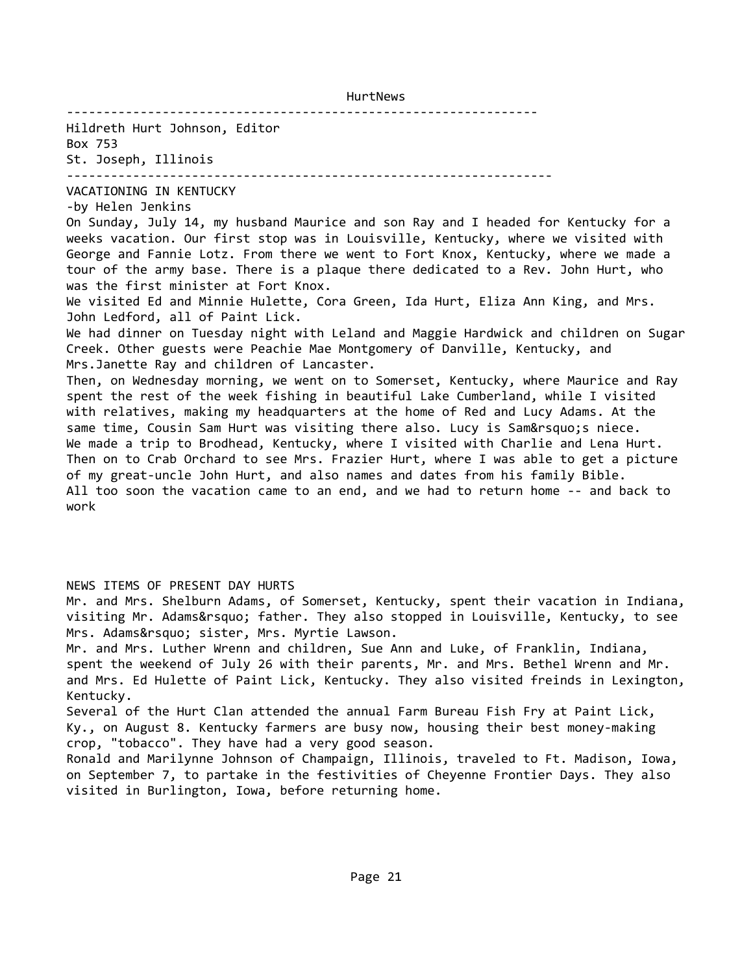Hildreth Hurt Johnson, Editor Box 753 St. Joseph, Illinois

------------------------------------------------------------------

----------------------------------------------------------------

VACATIONING IN KENTUCKY

-by Helen Jenkins On Sunday, July 14, my husband Maurice and son Ray and I headed for Kentucky for a weeks vacation. Our first stop was in Louisville, Kentucky, where we visited with George and Fannie Lotz. From there we went to Fort Knox, Kentucky, where we made a tour of the army base. There is a plaque there dedicated to a Rev. John Hurt, who was the first minister at Fort Knox.

We visited Ed and Minnie Hulette, Cora Green, Ida Hurt, Eliza Ann King, and Mrs. John Ledford, all of Paint Lick.

We had dinner on Tuesday night with Leland and Maggie Hardwick and children on Sugar Creek. Other guests were Peachie Mae Montgomery of Danville, Kentucky, and Mrs.Janette Ray and children of Lancaster.

Then, on Wednesday morning, we went on to Somerset, Kentucky, where Maurice and Ray spent the rest of the week fishing in beautiful Lake Cumberland, while I visited with relatives, making my headquarters at the home of Red and Lucy Adams. At the same time, Cousin Sam Hurt was visiting there also. Lucy is Sam' sniece. We made a trip to Brodhead, Kentucky, where I visited with Charlie and Lena Hurt. Then on to Crab Orchard to see Mrs. Frazier Hurt, where I was able to get a picture of my great-uncle John Hurt, and also names and dates from his family Bible. All too soon the vacation came to an end, and we had to return home -- and back to work

NEWS ITEMS OF PRESENT DAY HURTS

Mr. and Mrs. Shelburn Adams, of Somerset, Kentucky, spent their vacation in Indiana, visiting Mr. Adams' father. They also stopped in Louisville, Kentucky, to see Mrs. Adams' sister, Mrs. Myrtie Lawson.

Mr. and Mrs. Luther Wrenn and children, Sue Ann and Luke, of Franklin, Indiana, spent the weekend of July 26 with their parents, Mr. and Mrs. Bethel Wrenn and Mr. and Mrs. Ed Hulette of Paint Lick, Kentucky. They also visited freinds in Lexington, Kentucky.

Several of the Hurt Clan attended the annual Farm Bureau Fish Fry at Paint Lick, Ky., on August 8. Kentucky farmers are busy now, housing their best money-making crop, "tobacco". They have had a very good season.

Ronald and Marilynne Johnson of Champaign, Illinois, traveled to Ft. Madison, Iowa, on September 7, to partake in the festivities of Cheyenne Frontier Days. They also visited in Burlington, Iowa, before returning home.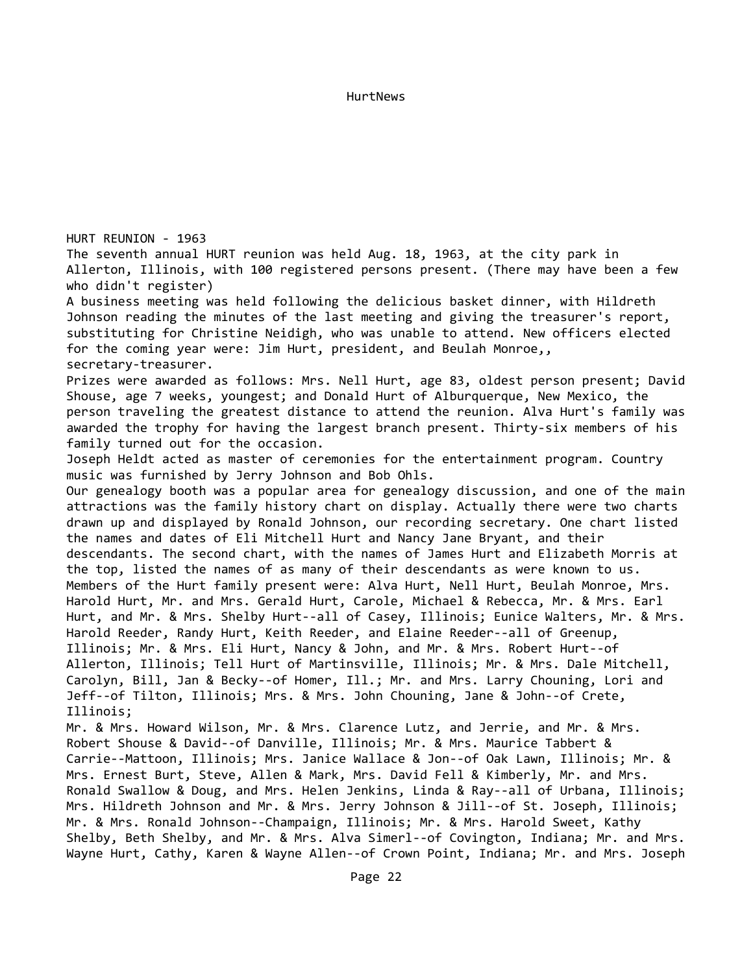HURT REUNION - 1963 The seventh annual HURT reunion was held Aug. 18, 1963, at the city park in Allerton, Illinois, with 100 registered persons present. (There may have been a few who didn't register) A business meeting was held following the delicious basket dinner, with Hildreth Johnson reading the minutes of the last meeting and giving the treasurer's report, substituting for Christine Neidigh, who was unable to attend. New officers elected for the coming year were: Jim Hurt, president, and Beulah Monroe,, secretary-treasurer. Prizes were awarded as follows: Mrs. Nell Hurt, age 83, oldest person present; David Shouse, age 7 weeks, youngest; and Donald Hurt of Alburquerque, New Mexico, the person traveling the greatest distance to attend the reunion. Alva Hurt's family was awarded the trophy for having the largest branch present. Thirty-six members of his family turned out for the occasion. Joseph Heldt acted as master of ceremonies for the entertainment program. Country music was furnished by Jerry Johnson and Bob Ohls. Our genealogy booth was a popular area for genealogy discussion, and one of the main attractions was the family history chart on display. Actually there were two charts drawn up and displayed by Ronald Johnson, our recording secretary. One chart listed the names and dates of Eli Mitchell Hurt and Nancy Jane Bryant, and their descendants. The second chart, with the names of James Hurt and Elizabeth Morris at the top, listed the names of as many of their descendants as were known to us. Members of the Hurt family present were: Alva Hurt, Nell Hurt, Beulah Monroe, Mrs. Harold Hurt, Mr. and Mrs. Gerald Hurt, Carole, Michael & Rebecca, Mr. & Mrs. Earl Hurt, and Mr. & Mrs. Shelby Hurt--all of Casey, Illinois; Eunice Walters, Mr. & Mrs. Harold Reeder, Randy Hurt, Keith Reeder, and Elaine Reeder--all of Greenup, Illinois; Mr. & Mrs. Eli Hurt, Nancy & John, and Mr. & Mrs. Robert Hurt--of Allerton, Illinois; Tell Hurt of Martinsville, Illinois; Mr. & Mrs. Dale Mitchell, Carolyn, Bill, Jan & Becky--of Homer, Ill.; Mr. and Mrs. Larry Chouning, Lori and Jeff--of Tilton, Illinois; Mrs. & Mrs. John Chouning, Jane & John--of Crete, Illinois; Mr. & Mrs. Howard Wilson, Mr. & Mrs. Clarence Lutz, and Jerrie, and Mr. & Mrs. Robert Shouse & David--of Danville, Illinois; Mr. & Mrs. Maurice Tabbert & Carrie--Mattoon, Illinois; Mrs. Janice Wallace & Jon--of Oak Lawn, Illinois; Mr. & Mrs. Ernest Burt, Steve, Allen & Mark, Mrs. David Fell & Kimberly, Mr. and Mrs. Ronald Swallow & Doug, and Mrs. Helen Jenkins, Linda & Ray--all of Urbana, Illinois; Mrs. Hildreth Johnson and Mr. & Mrs. Jerry Johnson & Jill--of St. Joseph, Illinois; Mr. & Mrs. Ronald Johnson--Champaign, Illinois; Mr. & Mrs. Harold Sweet, Kathy Shelby, Beth Shelby, and Mr. & Mrs. Alva Simerl--of Covington, Indiana; Mr. and Mrs. Wayne Hurt, Cathy, Karen & Wayne Allen--of Crown Point, Indiana; Mr. and Mrs. Joseph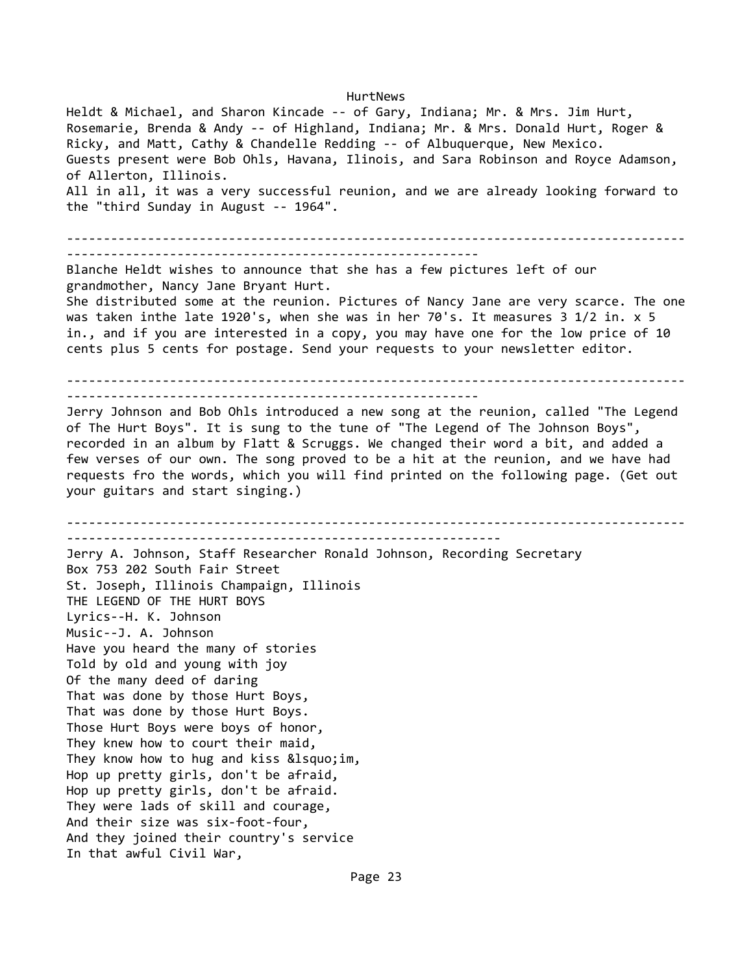Heldt & Michael, and Sharon Kincade -- of Gary, Indiana; Mr. & Mrs. Jim Hurt, Rosemarie, Brenda & Andy -- of Highland, Indiana; Mr. & Mrs. Donald Hurt, Roger & Ricky, and Matt, Cathy & Chandelle Redding -- of Albuquerque, New Mexico. Guests present were Bob Ohls, Havana, Ilinois, and Sara Robinson and Royce Adamson, of Allerton, Illinois. All in all, it was a very successful reunion, and we are already looking forward to the "third Sunday in August -- 1964". ------------------------------------------------------------------------------------ -------------------------------------------------------- Blanche Heldt wishes to announce that she has a few pictures left of our grandmother, Nancy Jane Bryant Hurt. She distributed some at the reunion. Pictures of Nancy Jane are very scarce. The one was taken inthe late 1920's, when she was in her 70's. It measures 3 1/2 in. x 5 in., and if you are interested in a copy, you may have one for the low price of 10 cents plus 5 cents for postage. Send your requests to your newsletter editor. ------------------------------------------------------------------------------------ -------------------------------------------------------- Jerry Johnson and Bob Ohls introduced a new song at the reunion, called "The Legend of The Hurt Boys". It is sung to the tune of "The Legend of The Johnson Boys", recorded in an album by Flatt & Scruggs. We changed their word a bit, and added a few verses of our own. The song proved to be a hit at the reunion, and we have had requests fro the words, which you will find printed on the following page. (Get out your guitars and start singing.) ------------------------------------------------------------------------------------ ----------------------------------------------------------- Jerry A. Johnson, Staff Researcher Ronald Johnson, Recording Secretary Box 753 202 South Fair Street St. Joseph, Illinois Champaign, Illinois THE LEGEND OF THE HURT BOYS Lyrics--H. K. Johnson Music--J. A. Johnson Have you heard the many of stories Told by old and young with joy Of the many deed of daring That was done by those Hurt Boys, That was done by those Hurt Boys. Those Hurt Boys were boys of honor, They knew how to court their maid, They know how to hug and kiss  $&\text{lsquo;im}$ , Hop up pretty girls, don't be afraid, Hop up pretty girls, don't be afraid. They were lads of skill and courage, And their size was six-foot-four, And they joined their country's service In that awful Civil War,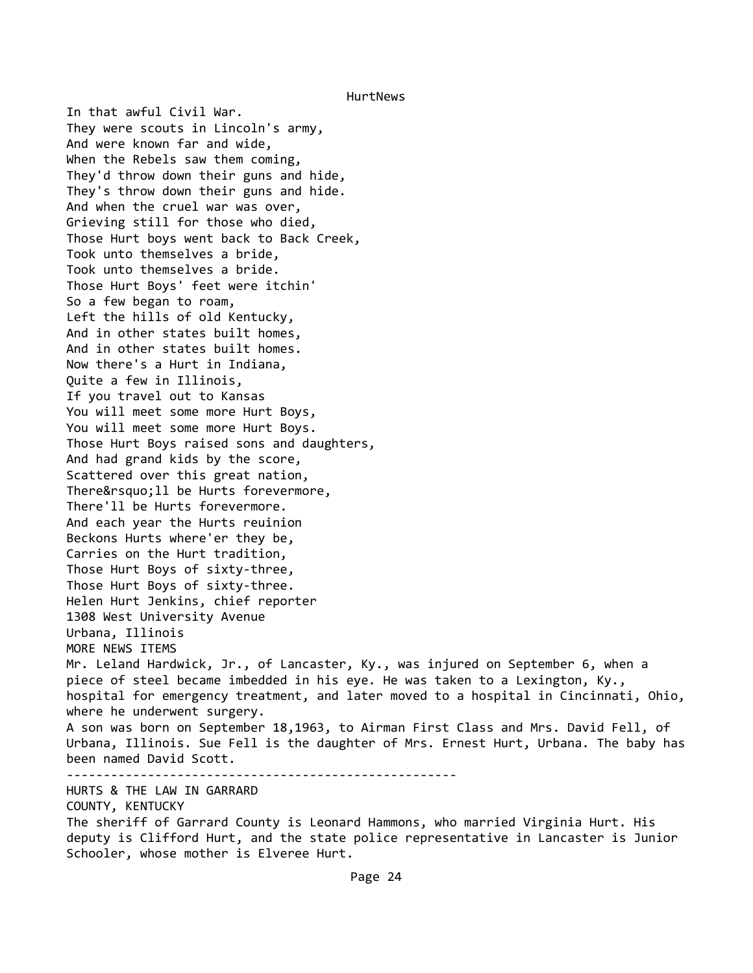In that awful Civil War. They were scouts in Lincoln's army, And were known far and wide, When the Rebels saw them coming, They'd throw down their guns and hide, They's throw down their guns and hide. And when the cruel war was over, Grieving still for those who died, Those Hurt boys went back to Back Creek, Took unto themselves a bride, Took unto themselves a bride. Those Hurt Boys' feet were itchin' So a few began to roam, Left the hills of old Kentucky, And in other states built homes, And in other states built homes. Now there's a Hurt in Indiana, Quite a few in Illinois, If you travel out to Kansas You will meet some more Hurt Boys, You will meet some more Hurt Boys. Those Hurt Boys raised sons and daughters, And had grand kids by the score, Scattered over this great nation, There'11 be Hurts forevermore, There'll be Hurts forevermore. And each year the Hurts reuinion Beckons Hurts where'er they be, Carries on the Hurt tradition, Those Hurt Boys of sixty-three, Those Hurt Boys of sixty-three. Helen Hurt Jenkins, chief reporter 1308 West University Avenue Urbana, Illinois MORE NEWS ITEMS Mr. Leland Hardwick, Jr., of Lancaster, Ky., was injured on September 6, when a piece of steel became imbedded in his eye. He was taken to a Lexington, Ky., hospital for emergency treatment, and later moved to a hospital in Cincinnati, Ohio, where he underwent surgery. A son was born on September 18,1963, to Airman First Class and Mrs. David Fell, of Urbana, Illinois. Sue Fell is the daughter of Mrs. Ernest Hurt, Urbana. The baby has been named David Scott. ----------------------------------------------------- HURTS & THE LAW IN GARRARD COUNTY, KENTUCKY The sheriff of Garrard County is Leonard Hammons, who married Virginia Hurt. His

deputy is Clifford Hurt, and the state police representative in Lancaster is Junior Schooler, whose mother is Elveree Hurt.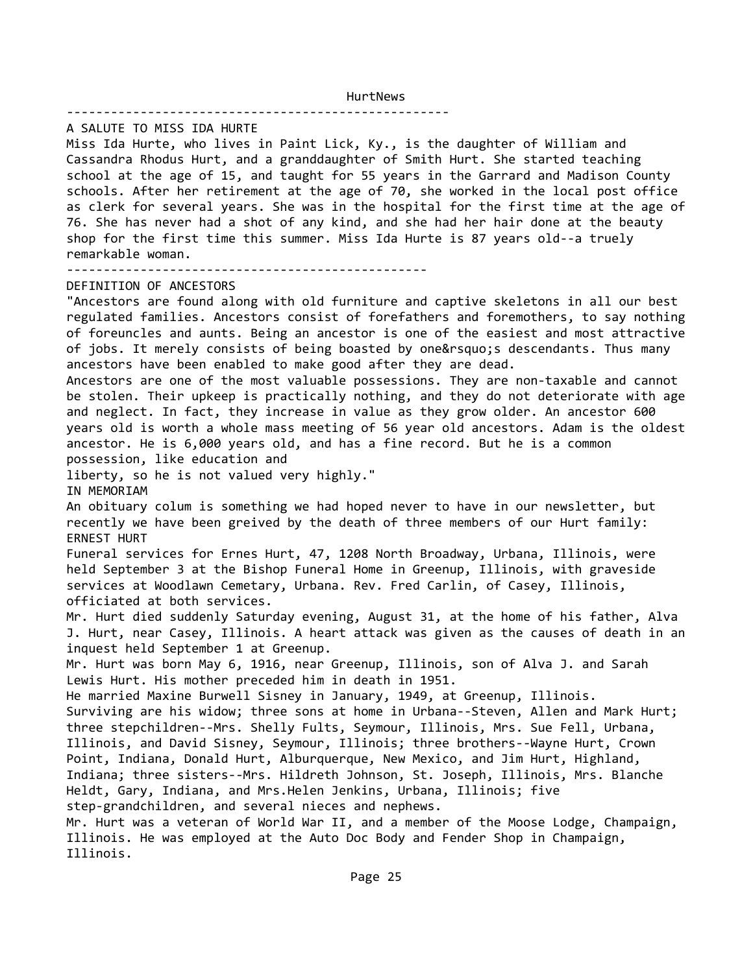#### ----------------------------------------------------

A SALUTE TO MISS IDA HURTE

Miss Ida Hurte, who lives in Paint Lick, Ky., is the daughter of William and Cassandra Rhodus Hurt, and a granddaughter of Smith Hurt. She started teaching school at the age of 15, and taught for 55 years in the Garrard and Madison County schools. After her retirement at the age of 70, she worked in the local post office as clerk for several years. She was in the hospital for the first time at the age of 76. She has never had a shot of any kind, and she had her hair done at the beauty shop for the first time this summer. Miss Ida Hurte is 87 years old--a truely remarkable woman.

-------------------------------------------------

### DEFINITION OF ANCESTORS

"Ancestors are found along with old furniture and captive skeletons in all our best regulated families. Ancestors consist of forefathers and foremothers, to say nothing of foreuncles and aunts. Being an ancestor is one of the easiest and most attractive of jobs. It merely consists of being boasted by one's descendants. Thus many ancestors have been enabled to make good after they are dead.

Ancestors are one of the most valuable possessions. They are non-taxable and cannot be stolen. Their upkeep is practically nothing, and they do not deteriorate with age and neglect. In fact, they increase in value as they grow older. An ancestor 600 years old is worth a whole mass meeting of 56 year old ancestors. Adam is the oldest ancestor. He is 6,000 years old, and has a fine record. But he is a common possession, like education and

liberty, so he is not valued very highly."

IN MEMORIAM

An obituary colum is something we had hoped never to have in our newsletter, but recently we have been greived by the death of three members of our Hurt family: ERNEST HURT

Funeral services for Ernes Hurt, 47, 1208 North Broadway, Urbana, Illinois, were held September 3 at the Bishop Funeral Home in Greenup, Illinois, with graveside services at Woodlawn Cemetary, Urbana. Rev. Fred Carlin, of Casey, Illinois, officiated at both services.

Mr. Hurt died suddenly Saturday evening, August 31, at the home of his father, Alva J. Hurt, near Casey, Illinois. A heart attack was given as the causes of death in an inquest held September 1 at Greenup.

Mr. Hurt was born May 6, 1916, near Greenup, Illinois, son of Alva J. and Sarah Lewis Hurt. His mother preceded him in death in 1951.

He married Maxine Burwell Sisney in January, 1949, at Greenup, Illinois.

Surviving are his widow; three sons at home in Urbana--Steven, Allen and Mark Hurt; three stepchildren--Mrs. Shelly Fults, Seymour, Illinois, Mrs. Sue Fell, Urbana, Illinois, and David Sisney, Seymour, Illinois; three brothers--Wayne Hurt, Crown Point, Indiana, Donald Hurt, Alburquerque, New Mexico, and Jim Hurt, Highland, Indiana; three sisters--Mrs. Hildreth Johnson, St. Joseph, Illinois, Mrs. Blanche Heldt, Gary, Indiana, and Mrs.Helen Jenkins, Urbana, Illinois; five step-grandchildren, and several nieces and nephews.

Mr. Hurt was a veteran of World War II, and a member of the Moose Lodge, Champaign, Illinois. He was employed at the Auto Doc Body and Fender Shop in Champaign, Illinois.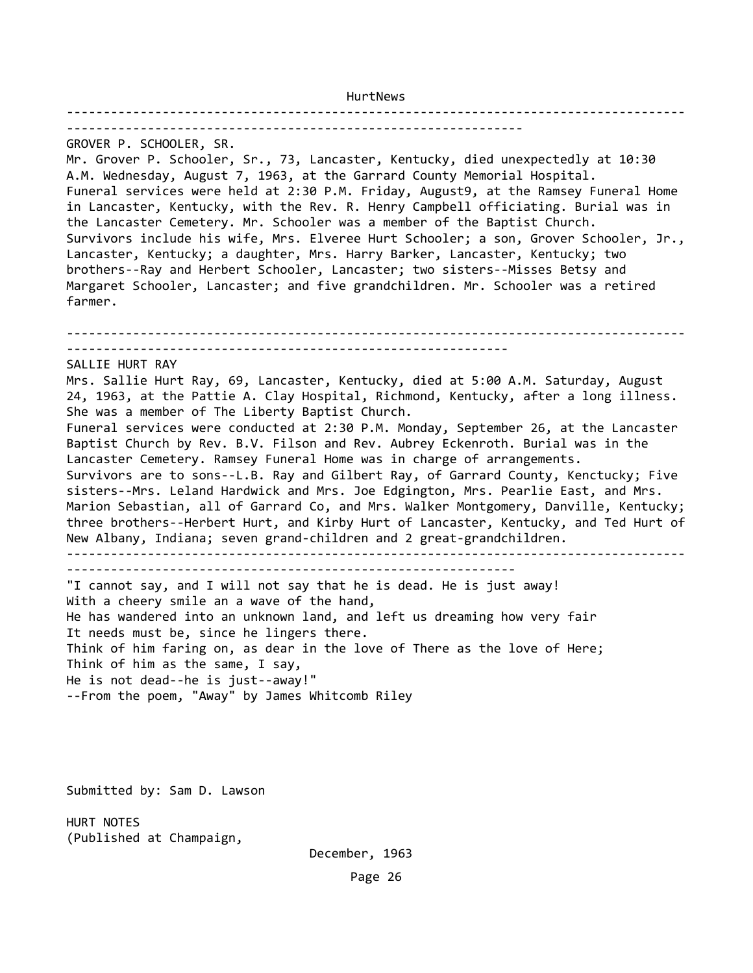------------------------------------------------------------------------------------ -------------------------------------------------------------- GROVER P. SCHOOLER, SR. Mr. Grover P. Schooler, Sr., 73, Lancaster, Kentucky, died unexpectedly at 10:30 A.M. Wednesday, August 7, 1963, at the Garrard County Memorial Hospital. Funeral services were held at 2:30 P.M. Friday, August9, at the Ramsey Funeral Home in Lancaster, Kentucky, with the Rev. R. Henry Campbell officiating. Burial was in the Lancaster Cemetery. Mr. Schooler was a member of the Baptist Church. Survivors include his wife, Mrs. Elveree Hurt Schooler; a son, Grover Schooler, Jr., Lancaster, Kentucky; a daughter, Mrs. Harry Barker, Lancaster, Kentucky; two brothers--Ray and Herbert Schooler, Lancaster; two sisters--Misses Betsy and Margaret Schooler, Lancaster; and five grandchildren. Mr. Schooler was a retired farmer. ------------------------------------------------------------------------------------ ------------------------------------------------------------ SALLIE HURT RAY Mrs. Sallie Hurt Ray, 69, Lancaster, Kentucky, died at 5:00 A.M. Saturday, August 24, 1963, at the Pattie A. Clay Hospital, Richmond, Kentucky, after a long illness. She was a member of The Liberty Baptist Church. Funeral services were conducted at 2:30 P.M. Monday, September 26, at the Lancaster Baptist Church by Rev. B.V. Filson and Rev. Aubrey Eckenroth. Burial was in the Lancaster Cemetery. Ramsey Funeral Home was in charge of arrangements. Survivors are to sons--L.B. Ray and Gilbert Ray, of Garrard County, Kenctucky; Five sisters--Mrs. Leland Hardwick and Mrs. Joe Edgington, Mrs. Pearlie East, and Mrs. Marion Sebastian, all of Garrard Co, and Mrs. Walker Montgomery, Danville, Kentucky; three brothers--Herbert Hurt, and Kirby Hurt of Lancaster, Kentucky, and Ted Hurt of New Albany, Indiana; seven grand-children and 2 great-grandchildren. ------------------------------------------------------------------------------------ ------------------------------------------------------------- "I cannot say, and I will not say that he is dead. He is just away! With a cheery smile an a wave of the hand, He has wandered into an unknown land, and left us dreaming how very fair It needs must be, since he lingers there. Think of him faring on, as dear in the love of There as the love of Here; Think of him as the same, I say, He is not dead--he is just--away!" --From the poem, "Away" by James Whitcomb Riley

Submitted by: Sam D. Lawson

HURT NOTES (Published at Champaign,

December, 1963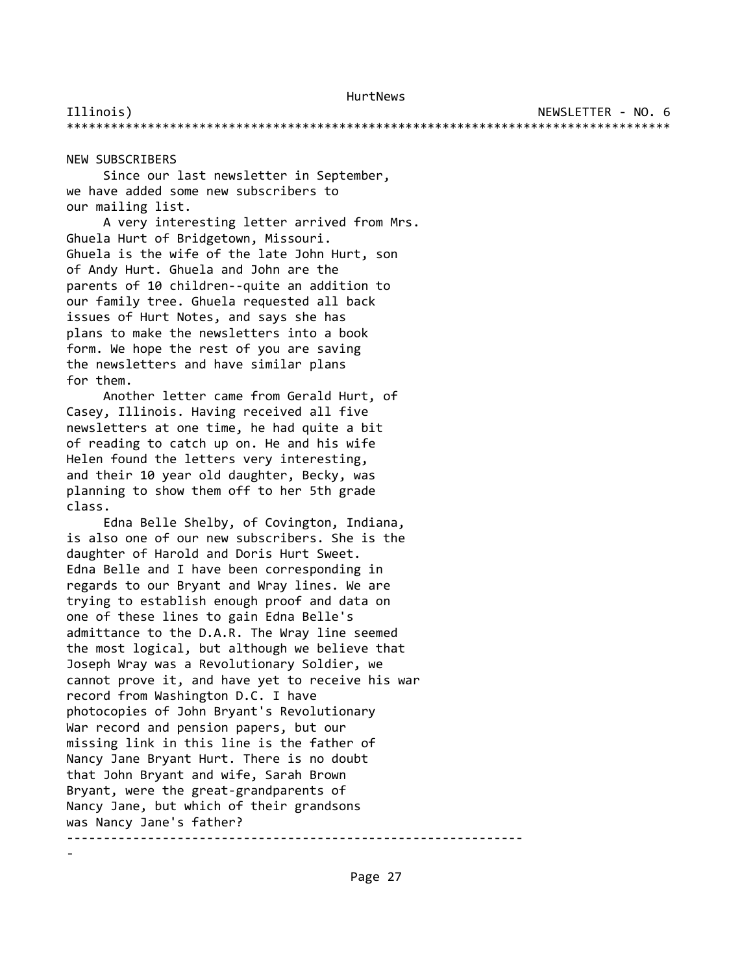Illinois) NEWSLETTER - NO. 6 \*\*\*\*\*\*\*\*\*\*\*\*\*\*\*\*\*\*\*\*\*\*\*\*\*\*\*\*\*\*\*\*\*\*\*\*\*\*\*\*\*\*\*\*\*\*\*\*\*\*\*\*\*\*\*\*\*\*\*\*\*\*\*\*\*\*\*\*\*\*\*\*\*\*\*\*\*\*\*\*\*\*

NEW SUBSCRIBERS

-

 Since our last newsletter in September, we have added some new subscribers to our mailing list.

 A very interesting letter arrived from Mrs. Ghuela Hurt of Bridgetown, Missouri. Ghuela is the wife of the late John Hurt, son of Andy Hurt. Ghuela and John are the parents of 10 children--quite an addition to our family tree. Ghuela requested all back issues of Hurt Notes, and says she has plans to make the newsletters into a book form. We hope the rest of you are saving the newsletters and have similar plans for them.

 Another letter came from Gerald Hurt, of Casey, Illinois. Having received all five newsletters at one time, he had quite a bit of reading to catch up on. He and his wife Helen found the letters very interesting, and their 10 year old daughter, Becky, was planning to show them off to her 5th grade class.

 Edna Belle Shelby, of Covington, Indiana, is also one of our new subscribers. She is the daughter of Harold and Doris Hurt Sweet. Edna Belle and I have been corresponding in regards to our Bryant and Wray lines. We are trying to establish enough proof and data on one of these lines to gain Edna Belle's admittance to the D.A.R. The Wray line seemed the most logical, but although we believe that Joseph Wray was a Revolutionary Soldier, we cannot prove it, and have yet to receive his war record from Washington D.C. I have photocopies of John Bryant's Revolutionary War record and pension papers, but our missing link in this line is the father of Nancy Jane Bryant Hurt. There is no doubt that John Bryant and wife, Sarah Brown Bryant, were the great-grandparents of Nancy Jane, but which of their grandsons was Nancy Jane's father? --------------------------------------------------------------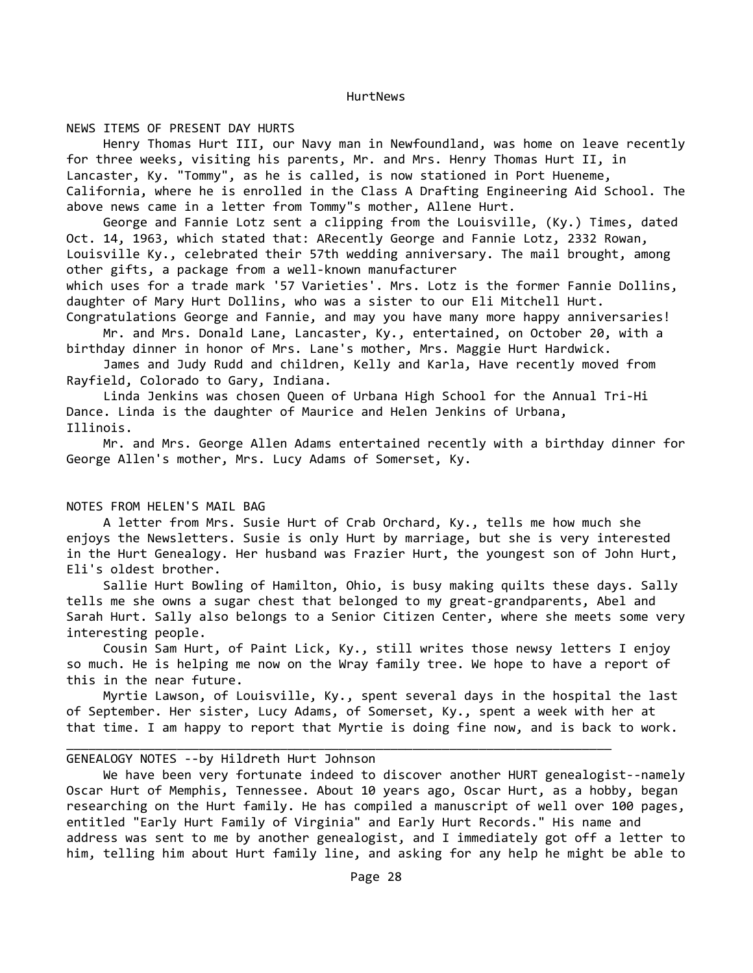NEWS ITEMS OF PRESENT DAY HURTS

 Henry Thomas Hurt III, our Navy man in Newfoundland, was home on leave recently for three weeks, visiting his parents, Mr. and Mrs. Henry Thomas Hurt II, in Lancaster, Ky. "Tommy", as he is called, is now stationed in Port Hueneme, California, where he is enrolled in the Class A Drafting Engineering Aid School. The above news came in a letter from Tommy"s mother, Allene Hurt.

 George and Fannie Lotz sent a clipping from the Louisville, (Ky.) Times, dated Oct. 14, 1963, which stated that: ARecently George and Fannie Lotz, 2332 Rowan, Louisville Ky., celebrated their 57th wedding anniversary. The mail brought, among other gifts, a package from a well-known manufacturer

which uses for a trade mark '57 Varieties'. Mrs. Lotz is the former Fannie Dollins, daughter of Mary Hurt Dollins, who was a sister to our Eli Mitchell Hurt.

Congratulations George and Fannie, and may you have many more happy anniversaries! Mr. and Mrs. Donald Lane, Lancaster, Ky., entertained, on October 20, with a

birthday dinner in honor of Mrs. Lane's mother, Mrs. Maggie Hurt Hardwick. James and Judy Rudd and children, Kelly and Karla, Have recently moved from

Rayfield, Colorado to Gary, Indiana.

 Linda Jenkins was chosen Queen of Urbana High School for the Annual Tri-Hi Dance. Linda is the daughter of Maurice and Helen Jenkins of Urbana, Illinois.

 Mr. and Mrs. George Allen Adams entertained recently with a birthday dinner for George Allen's mother, Mrs. Lucy Adams of Somerset, Ky.

# NOTES FROM HELEN'S MAIL BAG

 A letter from Mrs. Susie Hurt of Crab Orchard, Ky., tells me how much she enjoys the Newsletters. Susie is only Hurt by marriage, but she is very interested in the Hurt Genealogy. Her husband was Frazier Hurt, the youngest son of John Hurt, Eli's oldest brother.

 Sallie Hurt Bowling of Hamilton, Ohio, is busy making quilts these days. Sally tells me she owns a sugar chest that belonged to my great-grandparents, Abel and Sarah Hurt. Sally also belongs to a Senior Citizen Center, where she meets some very interesting people.

 Cousin Sam Hurt, of Paint Lick, Ky., still writes those newsy letters I enjoy so much. He is helping me now on the Wray family tree. We hope to have a report of this in the near future.

 Myrtie Lawson, of Louisville, Ky., spent several days in the hospital the last of September. Her sister, Lucy Adams, of Somerset, Ky., spent a week with her at that time. I am happy to report that Myrtie is doing fine now, and is back to work.

 $\_$  , and the set of the set of the set of the set of the set of the set of the set of the set of the set of the set of the set of the set of the set of the set of the set of the set of the set of the set of the set of th

# GENEALOGY NOTES --by Hildreth Hurt Johnson

 We have been very fortunate indeed to discover another HURT genealogist--namely Oscar Hurt of Memphis, Tennessee. About 10 years ago, Oscar Hurt, as a hobby, began researching on the Hurt family. He has compiled a manuscript of well over 100 pages, entitled "Early Hurt Family of Virginia" and Early Hurt Records." His name and address was sent to me by another genealogist, and I immediately got off a letter to him, telling him about Hurt family line, and asking for any help he might be able to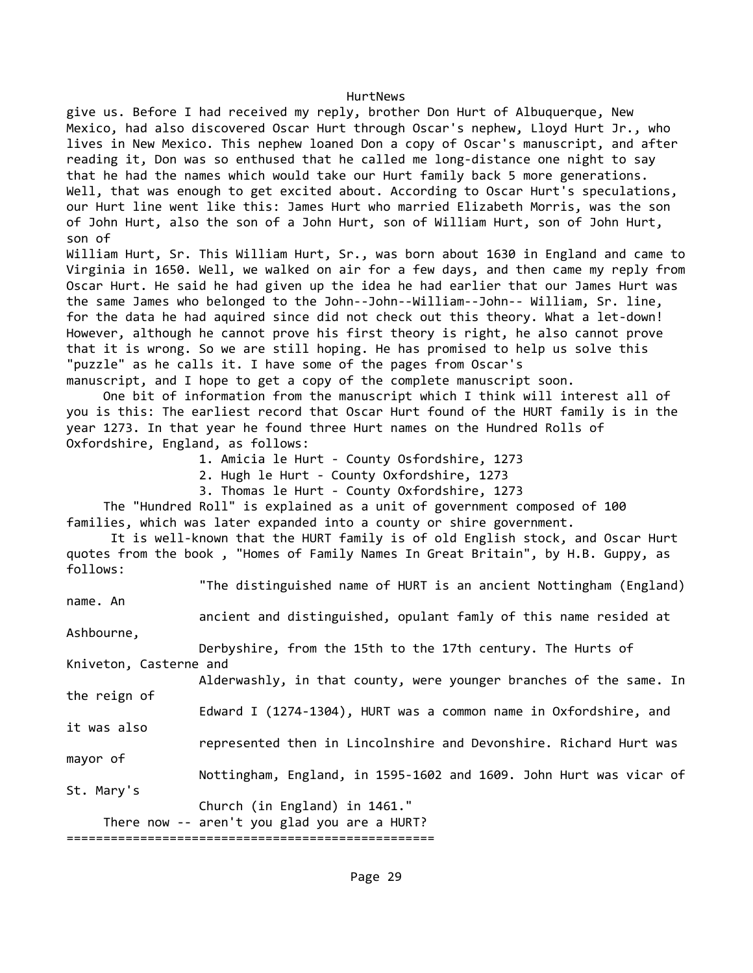give us. Before I had received my reply, brother Don Hurt of Albuquerque, New Mexico, had also discovered Oscar Hurt through Oscar's nephew, Lloyd Hurt Jr., who lives in New Mexico. This nephew loaned Don a copy of Oscar's manuscript, and after reading it, Don was so enthused that he called me long-distance one night to say that he had the names which would take our Hurt family back 5 more generations. Well, that was enough to get excited about. According to Oscar Hurt's speculations, our Hurt line went like this: James Hurt who married Elizabeth Morris, was the son of John Hurt, also the son of a John Hurt, son of William Hurt, son of John Hurt, son of

William Hurt, Sr. This William Hurt, Sr., was born about 1630 in England and came to Virginia in 1650. Well, we walked on air for a few days, and then came my reply from Oscar Hurt. He said he had given up the idea he had earlier that our James Hurt was the same James who belonged to the John--John--William--John-- William, Sr. line, for the data he had aquired since did not check out this theory. What a let-down! However, although he cannot prove his first theory is right, he also cannot prove that it is wrong. So we are still hoping. He has promised to help us solve this "puzzle" as he calls it. I have some of the pages from Oscar's

manuscript, and I hope to get a copy of the complete manuscript soon. One bit of information from the manuscript which I think will interest all of you is this: The earliest record that Oscar Hurt found of the HURT family is in the year 1273. In that year he found three Hurt names on the Hundred Rolls of Oxfordshire, England, as follows:

1. Amicia le Hurt - County Osfordshire, 1273

2. Hugh le Hurt - County Oxfordshire, 1273

3. Thomas le Hurt - County Oxfordshire, 1273

 The "Hundred Roll" is explained as a unit of government composed of 100 families, which was later expanded into a county or shire government.

 It is well-known that the HURT family is of old English stock, and Oscar Hurt quotes from the book , "Homes of Family Names In Great Britain", by H.B. Guppy, as follows:

"The distinguished name of HURT is an ancient Nottingham (England)

name. An

 ancient and distinguished, opulant famly of this name resided at Ashbourne,

 Derbyshire, from the 15th to the 17th century. The Hurts of Kniveton, Casterne and

 Alderwashly, in that county, were younger branches of the same. In the reign of

 Edward I (1274-1304), HURT was a common name in Oxfordshire, and it was also

represented then in Lincolnshire and Devonshire. Richard Hurt was

mayor of

St. Mary's

Nottingham, England, in 1595-1602 and 1609. John Hurt was vicar of

Church (in England) in 1461."

There now -- aren't you glad you are a HURT?

==================================================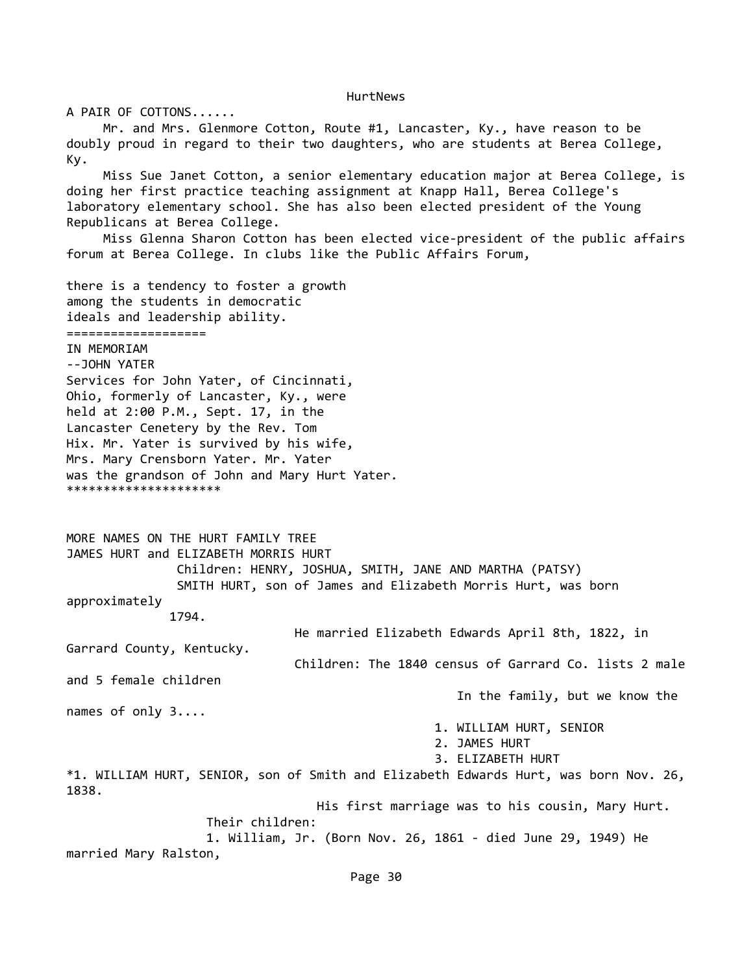A PAIR OF COTTONS...... Mr. and Mrs. Glenmore Cotton, Route #1, Lancaster, Ky., have reason to be doubly proud in regard to their two daughters, who are students at Berea College, Ky. Miss Sue Janet Cotton, a senior elementary education major at Berea College, is doing her first practice teaching assignment at Knapp Hall, Berea College's laboratory elementary school. She has also been elected president of the Young Republicans at Berea College. Miss Glenna Sharon Cotton has been elected vice-president of the public affairs forum at Berea College. In clubs like the Public Affairs Forum, there is a tendency to foster a growth among the students in democratic ideals and leadership ability. =================== IN MEMORIAM --JOHN YATER Services for John Yater, of Cincinnati, Ohio, formerly of Lancaster, Ky., were held at 2:00 P.M., Sept. 17, in the Lancaster Cenetery by the Rev. Tom Hix. Mr. Yater is survived by his wife, Mrs. Mary Crensborn Yater. Mr. Yater was the grandson of John and Mary Hurt Yater. \*\*\*\*\*\*\*\*\*\*\*\*\*\*\*\*\*\*\*\*\* MORE NAMES ON THE HURT FAMILY TREE JAMES HURT and ELIZABETH MORRIS HURT Children: HENRY, JOSHUA, SMITH, JANE AND MARTHA (PATSY) SMITH HURT, son of James and Elizabeth Morris Hurt, was born approximately 1794. He married Elizabeth Edwards April 8th, 1822, in Garrard County, Kentucky. Children: The 1840 census of Garrard Co. lists 2 male and 5 female children In the family, but we know the names of only 3.... 1. WILLIAM HURT, SENIOR 2. JAMES HURT 3. ELIZABETH HURT \*1. WILLIAM HURT, SENIOR, son of Smith and Elizabeth Edwards Hurt, was born Nov. 26, 1838. His first marriage was to his cousin, Mary Hurt. Their children: 1. William, Jr. (Born Nov. 26, 1861 - died June 29, 1949) He married Mary Ralston,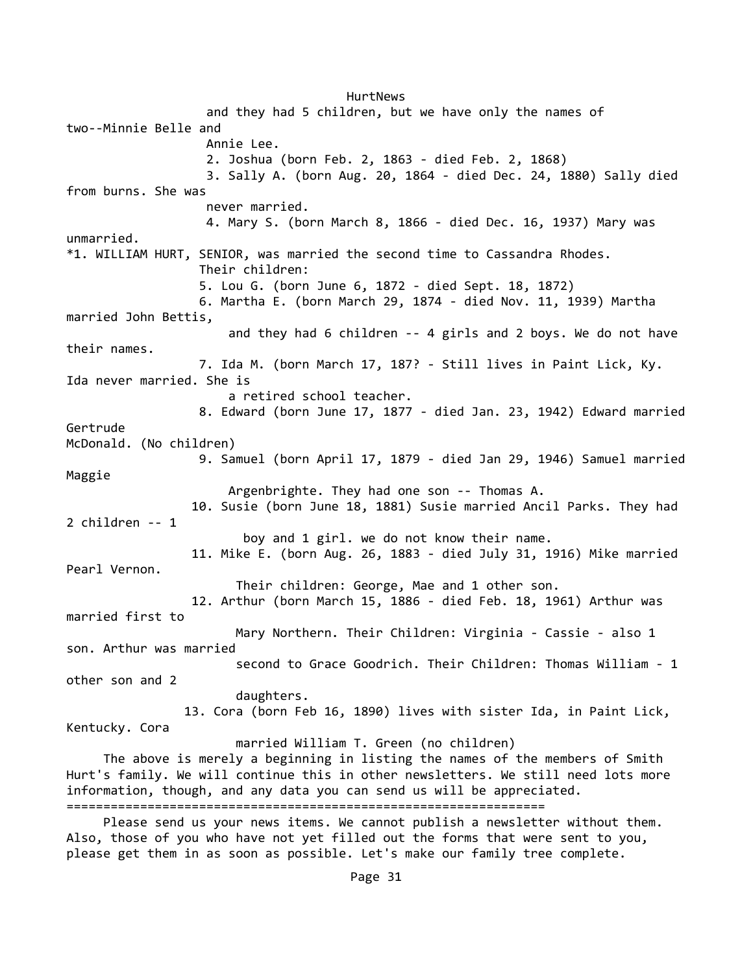HurtNews and they had 5 children, but we have only the names of two--Minnie Belle and Annie Lee. 2. Joshua (born Feb. 2, 1863 - died Feb. 2, 1868) 3. Sally A. (born Aug. 20, 1864 - died Dec. 24, 1880) Sally died from burns. She was never married. 4. Mary S. (born March 8, 1866 - died Dec. 16, 1937) Mary was unmarried. \*1. WILLIAM HURT, SENIOR, was married the second time to Cassandra Rhodes. Their children: 5. Lou G. (born June 6, 1872 - died Sept. 18, 1872) 6. Martha E. (born March 29, 1874 - died Nov. 11, 1939) Martha married John Bettis, and they had 6 children -- 4 girls and 2 boys. We do not have their names. 7. Ida M. (born March 17, 187? - Still lives in Paint Lick, Ky. Ida never married. She is a retired school teacher. 8. Edward (born June 17, 1877 - died Jan. 23, 1942) Edward married Gertrude McDonald. (No children) 9. Samuel (born April 17, 1879 - died Jan 29, 1946) Samuel married Maggie Argenbrighte. They had one son -- Thomas A. 10. Susie (born June 18, 1881) Susie married Ancil Parks. They had 2 children -- 1 boy and 1 girl. we do not know their name. 11. Mike E. (born Aug. 26, 1883 - died July 31, 1916) Mike married Pearl Vernon. Their children: George, Mae and 1 other son. 12. Arthur (born March 15, 1886 - died Feb. 18, 1961) Arthur was married first to Mary Northern. Their Children: Virginia - Cassie - also 1 son. Arthur was married second to Grace Goodrich. Their Children: Thomas William - 1 other son and 2 daughters. 13. Cora (born Feb 16, 1890) lives with sister Ida, in Paint Lick, Kentucky. Cora married William T. Green (no children) The above is merely a beginning in listing the names of the members of Smith Hurt's family. We will continue this in other newsletters. We still need lots more information, though, and any data you can send us will be appreciated. =================================================================

 Please send us your news items. We cannot publish a newsletter without them. Also, those of you who have not yet filled out the forms that were sent to you, please get them in as soon as possible. Let's make our family tree complete.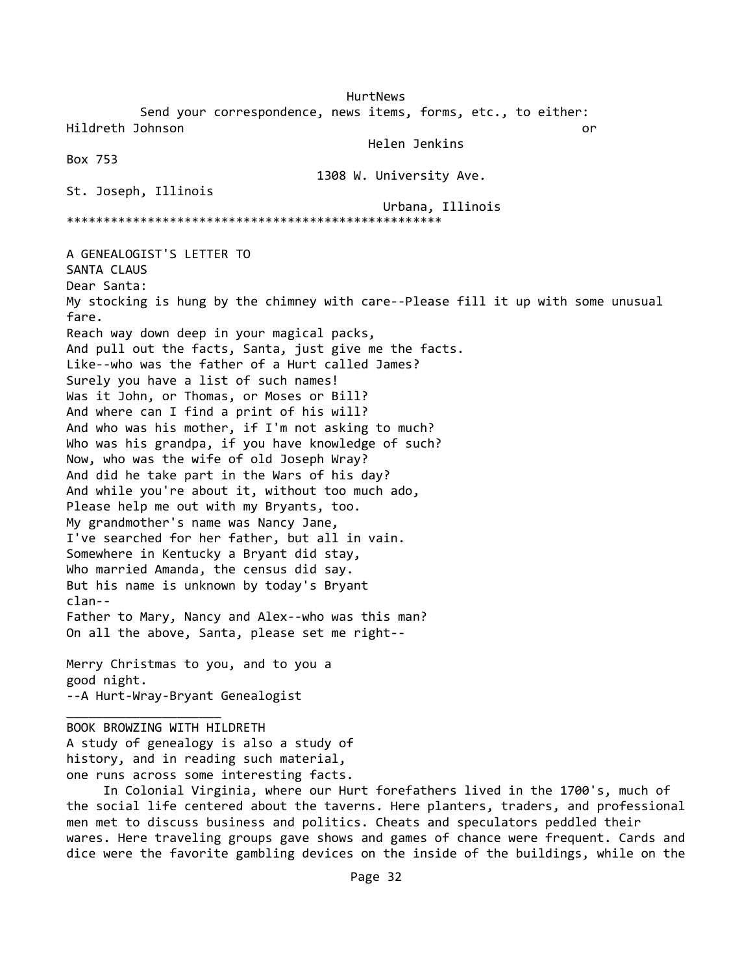HurtNews Send your correspondence, news items, forms, etc., to either: Hildreth Johnson or Helen Jenkins Box 753 1308 W. University Ave. St. Joseph, Illinois Urbana, Illinois \*\*\*\*\*\*\*\*\*\*\*\*\*\*\*\*\*\*\*\*\*\*\*\*\*\*\*\*\*\*\*\*\*\*\*\*\*\*\*\*\*\*\*\*\*\*\*\*\*\*\* A GENEALOGIST'S LETTER TO SANTA CLAUS Dear Santa: My stocking is hung by the chimney with care--Please fill it up with some unusual fare. Reach way down deep in your magical packs, And pull out the facts, Santa, just give me the facts. Like--who was the father of a Hurt called James? Surely you have a list of such names! Was it John, or Thomas, or Moses or Bill? And where can I find a print of his will? And who was his mother, if I'm not asking to much? Who was his grandpa, if you have knowledge of such? Now, who was the wife of old Joseph Wray? And did he take part in the Wars of his day? And while you're about it, without too much ado, Please help me out with my Bryants, too. My grandmother's name was Nancy Jane, I've searched for her father, but all in vain. Somewhere in Kentucky a Bryant did stay, Who married Amanda, the census did say. But his name is unknown by today's Bryant clan-- Father to Mary, Nancy and Alex--who was this man? On all the above, Santa, please set me right-- Merry Christmas to you, and to you a good night. --A Hurt-Wray-Bryant Genealogist  $\overline{\phantom{a}}$  , and the set of the set of the set of the set of the set of the set of the set of the set of the set of the set of the set of the set of the set of the set of the set of the set of the set of the set of the s BOOK BROWZING WITH HILDRETH A study of genealogy is also a study of history, and in reading such material,

one runs across some interesting facts.

 In Colonial Virginia, where our Hurt forefathers lived in the 1700's, much of the social life centered about the taverns. Here planters, traders, and professional men met to discuss business and politics. Cheats and speculators peddled their wares. Here traveling groups gave shows and games of chance were frequent. Cards and dice were the favorite gambling devices on the inside of the buildings, while on the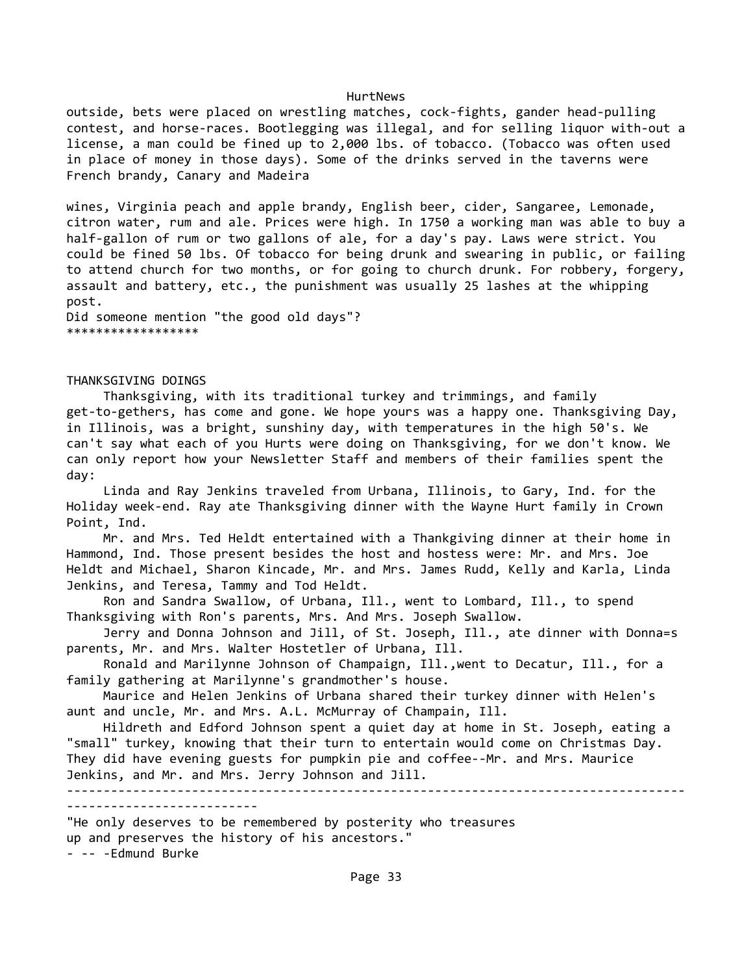outside, bets were placed on wrestling matches, cock-fights, gander head-pulling contest, and horse-races. Bootlegging was illegal, and for selling liquor with-out a license, a man could be fined up to 2,000 lbs. of tobacco. (Tobacco was often used in place of money in those days). Some of the drinks served in the taverns were French brandy, Canary and Madeira

wines, Virginia peach and apple brandy, English beer, cider, Sangaree, Lemonade, citron water, rum and ale. Prices were high. In 1750 a working man was able to buy a half-gallon of rum or two gallons of ale, for a day's pay. Laws were strict. You could be fined 50 lbs. Of tobacco for being drunk and swearing in public, or failing to attend church for two months, or for going to church drunk. For robbery, forgery, assault and battery, etc., the punishment was usually 25 lashes at the whipping post.

Did someone mention "the good old days"? \*\*\*\*\*\*\*\*\*\*\*\*\*\*\*\*\*\*

THANKSGIVING DOINGS

 Thanksgiving, with its traditional turkey and trimmings, and family get-to-gethers, has come and gone. We hope yours was a happy one. Thanksgiving Day, in Illinois, was a bright, sunshiny day, with temperatures in the high 50's. We can't say what each of you Hurts were doing on Thanksgiving, for we don't know. We can only report how your Newsletter Staff and members of their families spent the day:

 Linda and Ray Jenkins traveled from Urbana, Illinois, to Gary, Ind. for the Holiday week-end. Ray ate Thanksgiving dinner with the Wayne Hurt family in Crown Point, Ind.

 Mr. and Mrs. Ted Heldt entertained with a Thankgiving dinner at their home in Hammond, Ind. Those present besides the host and hostess were: Mr. and Mrs. Joe Heldt and Michael, Sharon Kincade, Mr. and Mrs. James Rudd, Kelly and Karla, Linda Jenkins, and Teresa, Tammy and Tod Heldt.

 Ron and Sandra Swallow, of Urbana, Ill., went to Lombard, Ill., to spend Thanksgiving with Ron's parents, Mrs. And Mrs. Joseph Swallow.

 Jerry and Donna Johnson and Jill, of St. Joseph, Ill., ate dinner with Donna=s parents, Mr. and Mrs. Walter Hostetler of Urbana, Ill.

 Ronald and Marilynne Johnson of Champaign, Ill.,went to Decatur, Ill., for a family gathering at Marilynne's grandmother's house.

 Maurice and Helen Jenkins of Urbana shared their turkey dinner with Helen's aunt and uncle, Mr. and Mrs. A.L. McMurray of Champain, Ill.

 Hildreth and Edford Johnson spent a quiet day at home in St. Joseph, eating a "small" turkey, knowing that their turn to entertain would come on Christmas Day. They did have evening guests for pumpkin pie and coffee--Mr. and Mrs. Maurice Jenkins, and Mr. and Mrs. Jerry Johnson and Jill.

------------------------------------------------------------------------------------ --------------------------

"He only deserves to be remembered by posterity who treasures up and preserves the history of his ancestors." - -- -Edmund Burke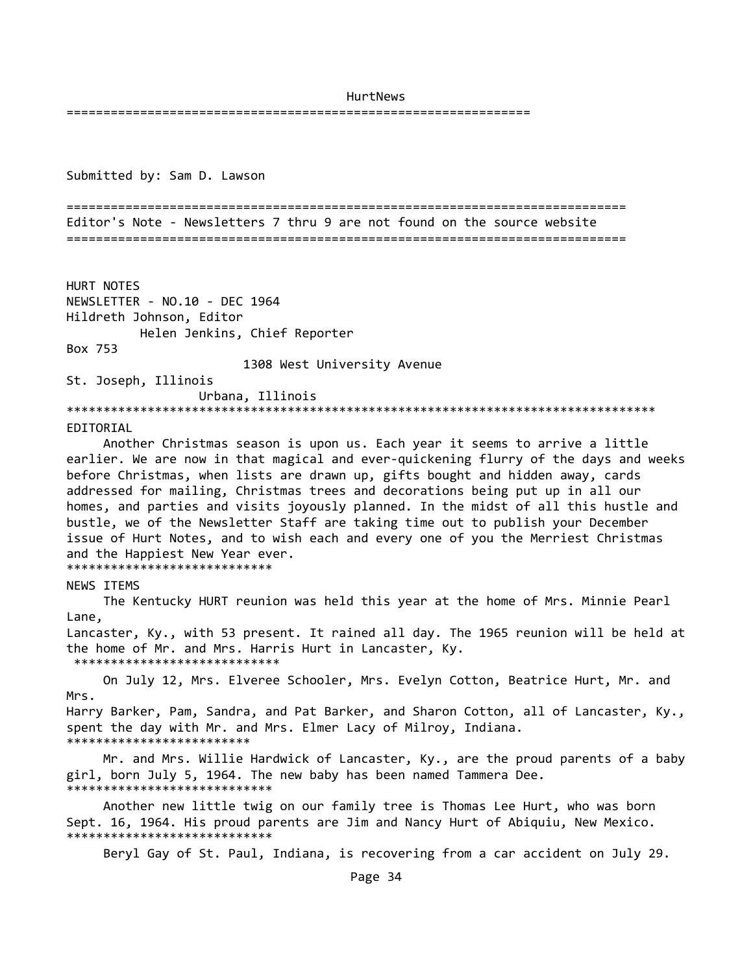===============================================================

Submitted by: Sam D. Lawson

============================================================================ Editor's Note - Newsletters 7 thru 9 are not found on the source website ============================================================================

HURT NOTES NEWSLETTER - NO.10 - DEC 1964 Hildreth Johnson, Editor Helen Jenkins, Chief Reporter Box 753

1308 West University Avenue

St. Joseph, Illinois Urbana, Illinois

\*\*\*\*\*\*\*\*\*\*\*\*\*\*\*\*\*\*\*\*\*\*\*\*\*\*\*\*\*\*\*\*\*\*\*\*\*\*\*\*\*\*\*\*\*\*\*\*\*\*\*\*\*\*\*\*\*\*\*\*\*\*\*\*\*\*\*\*\*\*\*\*\*\*\*\*\*\*\*\*

### EDITORIAL

 Another Christmas season is upon us. Each year it seems to arrive a little earlier. We are now in that magical and ever-quickening flurry of the days and weeks before Christmas, when lists are drawn up, gifts bought and hidden away, cards addressed for mailing, Christmas trees and decorations being put up in all our homes, and parties and visits joyously planned. In the midst of all this hustle and bustle, we of the Newsletter Staff are taking time out to publish your December issue of Hurt Notes, and to wish each and every one of you the Merriest Christmas and the Happiest New Year ever. \*\*\*\*\*\*\*\*\*\*\*\*\*\*\*\*\*\*\*\*\*\*\*\*\*\*\*\*

#### NEWS ITEMS

 The Kentucky HURT reunion was held this year at the home of Mrs. Minnie Pearl Lane,

Lancaster, Ky., with 53 present. It rained all day. The 1965 reunion will be held at the home of Mr. and Mrs. Harris Hurt in Lancaster, Ky. \*\*\*\*\*\*\*\*\*\*\*\*\*\*\*\*\*\*\*\*\*\*\*\*\*\*\*\*

 On July 12, Mrs. Elveree Schooler, Mrs. Evelyn Cotton, Beatrice Hurt, Mr. and Mrs. Harry Barker, Pam, Sandra, and Pat Barker, and Sharon Cotton, all of Lancaster, Ky., spent the day with Mr. and Mrs. Elmer Lacy of Milroy, Indiana. \*\*\*\*\*\*\*\*\*\*\*\*\*\*\*\*\*\*\*\*\*\*\*\*\*

 Mr. and Mrs. Willie Hardwick of Lancaster, Ky., are the proud parents of a baby girl, born July 5, 1964. The new baby has been named Tammera Dee. \*\*\*\*\*\*\*\*\*\*\*\*\*\*\*\*\*\*\*\*\*\*\*\*\*\*\*\*

 Another new little twig on our family tree is Thomas Lee Hurt, who was born Sept. 16, 1964. His proud parents are Jim and Nancy Hurt of Abiquiu, New Mexico. \*\*\*\*\*\*\*\*\*\*\*\*\*\*\*\*\*\*\*\*\*\*\*\*\*\*\*\*

Beryl Gay of St. Paul, Indiana, is recovering from a car accident on July 29.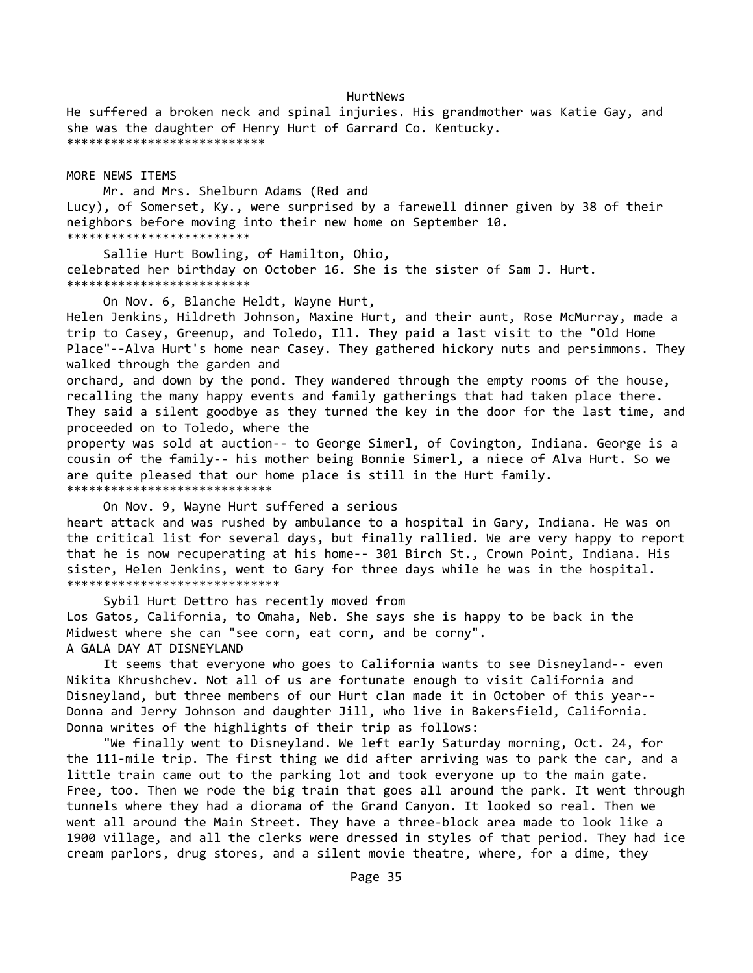He suffered a broken neck and spinal injuries. His grandmother was Katie Gay, and she was the daughter of Henry Hurt of Garrard Co. Kentucky. \*\*\*\*\*\*\*\*\*\*\*\*\*\*\*\*\*\*\*\*\*\*\*\*\*\*\*

MORE NEWS ITEMS

 Mr. and Mrs. Shelburn Adams (Red and Lucy), of Somerset, Ky., were surprised by a farewell dinner given by 38 of their neighbors before moving into their new home on September 10. \*\*\*\*\*\*\*\*\*\*\*\*\*\*\*\*\*\*\*\*\*\*\*\*\*

 Sallie Hurt Bowling, of Hamilton, Ohio, celebrated her birthday on October 16. She is the sister of Sam J. Hurt. \*\*\*\*\*\*\*\*\*\*\*\*\*\*\*\*\*\*\*\*\*\*\*\*\*

On Nov. 6, Blanche Heldt, Wayne Hurt,

Helen Jenkins, Hildreth Johnson, Maxine Hurt, and their aunt, Rose McMurray, made a trip to Casey, Greenup, and Toledo, Ill. They paid a last visit to the "Old Home Place"--Alva Hurt's home near Casey. They gathered hickory nuts and persimmons. They walked through the garden and orchard, and down by the pond. They wandered through the empty rooms of the house, recalling the many happy events and family gatherings that had taken place there. They said a silent goodbye as they turned the key in the door for the last time, and proceeded on to Toledo, where the property was sold at auction-- to George Simerl, of Covington, Indiana. George is a cousin of the family-- his mother being Bonnie Simerl, a niece of Alva Hurt. So we are quite pleased that our home place is still in the Hurt family. \*\*\*\*\*\*\*\*\*\*\*\*\*\*\*\*\*\*\*\*\*\*\*\*\*\*\*\*

 On Nov. 9, Wayne Hurt suffered a serious heart attack and was rushed by ambulance to a hospital in Gary, Indiana. He was on the critical list for several days, but finally rallied. We are very happy to report that he is now recuperating at his home-- 301 Birch St., Crown Point, Indiana. His sister, Helen Jenkins, went to Gary for three days while he was in the hospital. \*\*\*\*\*\*\*\*\*\*\*\*\*\*\*\*\*\*\*\*\*\*\*\*\*\*\*\*\*

 Sybil Hurt Dettro has recently moved from Los Gatos, California, to Omaha, Neb. She says she is happy to be back in the Midwest where she can "see corn, eat corn, and be corny". A GALA DAY AT DISNEYLAND

 It seems that everyone who goes to California wants to see Disneyland-- even Nikita Khrushchev. Not all of us are fortunate enough to visit California and Disneyland, but three members of our Hurt clan made it in October of this year-- Donna and Jerry Johnson and daughter Jill, who live in Bakersfield, California. Donna writes of the highlights of their trip as follows:

 "We finally went to Disneyland. We left early Saturday morning, Oct. 24, for the 111-mile trip. The first thing we did after arriving was to park the car, and a little train came out to the parking lot and took everyone up to the main gate. Free, too. Then we rode the big train that goes all around the park. It went through tunnels where they had a diorama of the Grand Canyon. It looked so real. Then we went all around the Main Street. They have a three-block area made to look like a 1900 village, and all the clerks were dressed in styles of that period. They had ice cream parlors, drug stores, and a silent movie theatre, where, for a dime, they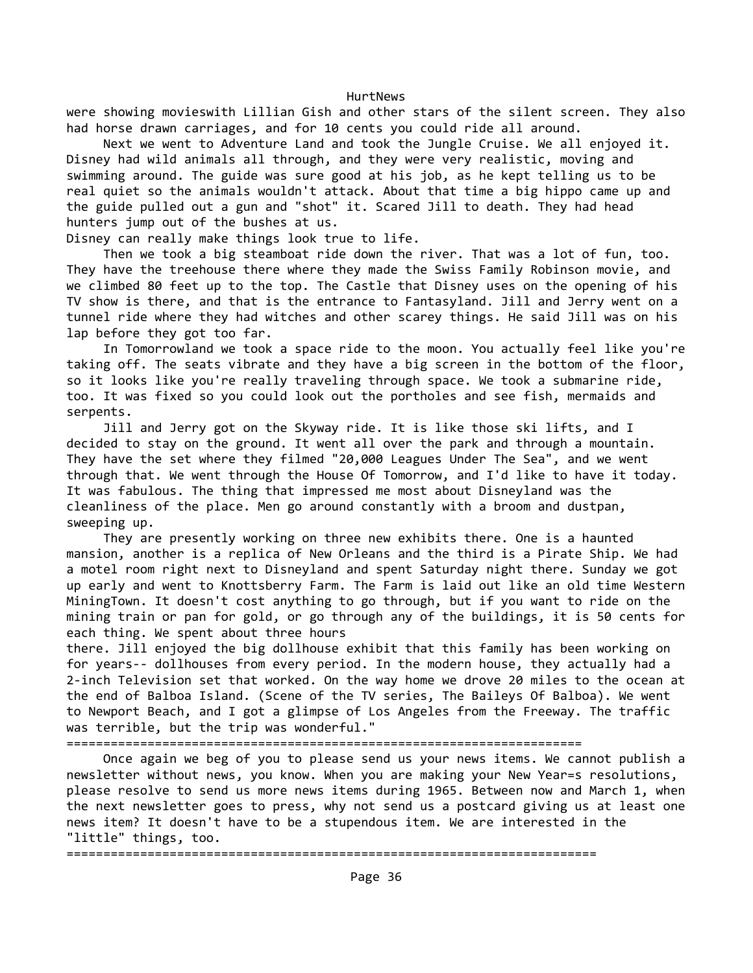were showing movieswith Lillian Gish and other stars of the silent screen. They also had horse drawn carriages, and for 10 cents you could ride all around.

 Next we went to Adventure Land and took the Jungle Cruise. We all enjoyed it. Disney had wild animals all through, and they were very realistic, moving and swimming around. The guide was sure good at his job, as he kept telling us to be real quiet so the animals wouldn't attack. About that time a big hippo came up and the guide pulled out a gun and "shot" it. Scared Jill to death. They had head hunters jump out of the bushes at us.

Disney can really make things look true to life.

 Then we took a big steamboat ride down the river. That was a lot of fun, too. They have the treehouse there where they made the Swiss Family Robinson movie, and we climbed 80 feet up to the top. The Castle that Disney uses on the opening of his TV show is there, and that is the entrance to Fantasyland. Jill and Jerry went on a tunnel ride where they had witches and other scarey things. He said Jill was on his lap before they got too far.

 In Tomorrowland we took a space ride to the moon. You actually feel like you're taking off. The seats vibrate and they have a big screen in the bottom of the floor, so it looks like you're really traveling through space. We took a submarine ride, too. It was fixed so you could look out the portholes and see fish, mermaids and serpents.

 Jill and Jerry got on the Skyway ride. It is like those ski lifts, and I decided to stay on the ground. It went all over the park and through a mountain. They have the set where they filmed "20,000 Leagues Under The Sea", and we went through that. We went through the House Of Tomorrow, and I'd like to have it today. It was fabulous. The thing that impressed me most about Disneyland was the cleanliness of the place. Men go around constantly with a broom and dustpan, sweeping up.

 They are presently working on three new exhibits there. One is a haunted mansion, another is a replica of New Orleans and the third is a Pirate Ship. We had a motel room right next to Disneyland and spent Saturday night there. Sunday we got up early and went to Knottsberry Farm. The Farm is laid out like an old time Western MiningTown. It doesn't cost anything to go through, but if you want to ride on the mining train or pan for gold, or go through any of the buildings, it is 50 cents for each thing. We spent about three hours

there. Jill enjoyed the big dollhouse exhibit that this family has been working on for years-- dollhouses from every period. In the modern house, they actually had a 2-inch Television set that worked. On the way home we drove 20 miles to the ocean at the end of Balboa Island. (Scene of the TV series, The Baileys Of Balboa). We went to Newport Beach, and I got a glimpse of Los Angeles from the Freeway. The traffic was terrible, but the trip was wonderful."

======================================================================

 Once again we beg of you to please send us your news items. We cannot publish a newsletter without news, you know. When you are making your New Year=s resolutions, please resolve to send us more news items during 1965. Between now and March 1, when the next newsletter goes to press, why not send us a postcard giving us at least one news item? It doesn't have to be a stupendous item. We are interested in the "little" things, too.

========================================================================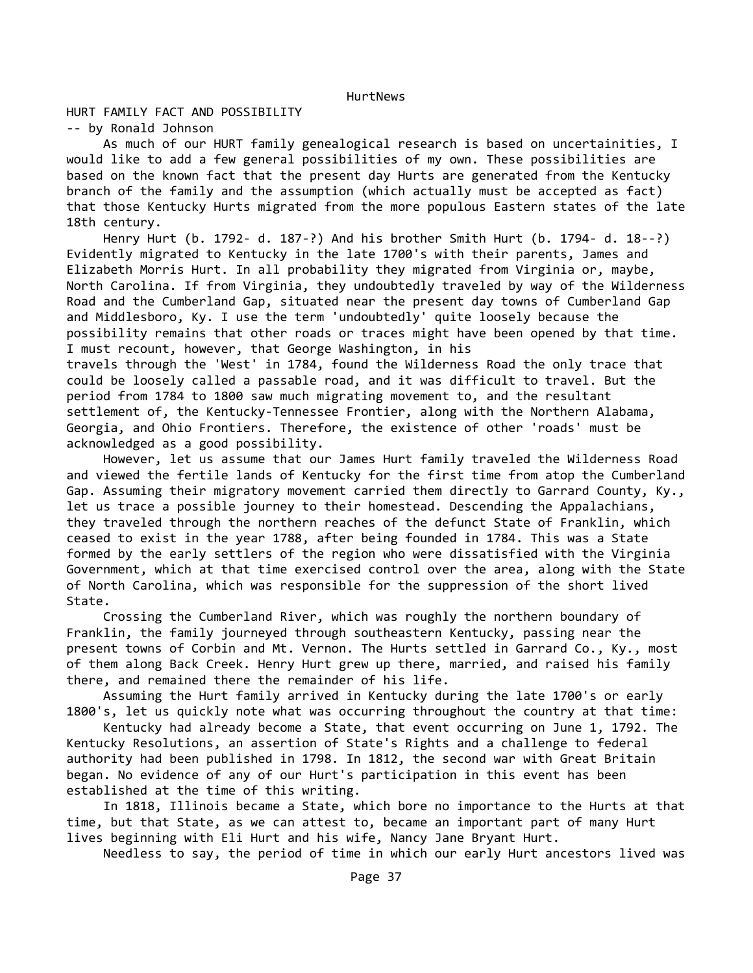# HURT FAMILY FACT AND POSSIBILITY

-- by Ronald Johnson

 As much of our HURT family genealogical research is based on uncertainities, I would like to add a few general possibilities of my own. These possibilities are based on the known fact that the present day Hurts are generated from the Kentucky branch of the family and the assumption (which actually must be accepted as fact) that those Kentucky Hurts migrated from the more populous Eastern states of the late 18th century.

 Henry Hurt (b. 1792- d. 187-?) And his brother Smith Hurt (b. 1794- d. 18--?) Evidently migrated to Kentucky in the late 1700's with their parents, James and Elizabeth Morris Hurt. In all probability they migrated from Virginia or, maybe, North Carolina. If from Virginia, they undoubtedly traveled by way of the Wilderness Road and the Cumberland Gap, situated near the present day towns of Cumberland Gap and Middlesboro, Ky. I use the term 'undoubtedly' quite loosely because the possibility remains that other roads or traces might have been opened by that time. I must recount, however, that George Washington, in his

travels through the 'West' in 1784, found the Wilderness Road the only trace that could be loosely called a passable road, and it was difficult to travel. But the period from 1784 to 1800 saw much migrating movement to, and the resultant settlement of, the Kentucky-Tennessee Frontier, along with the Northern Alabama, Georgia, and Ohio Frontiers. Therefore, the existence of other 'roads' must be acknowledged as a good possibility.

 However, let us assume that our James Hurt family traveled the Wilderness Road and viewed the fertile lands of Kentucky for the first time from atop the Cumberland Gap. Assuming their migratory movement carried them directly to Garrard County, Ky., let us trace a possible journey to their homestead. Descending the Appalachians, they traveled through the northern reaches of the defunct State of Franklin, which ceased to exist in the year 1788, after being founded in 1784. This was a State formed by the early settlers of the region who were dissatisfied with the Virginia Government, which at that time exercised control over the area, along with the State of North Carolina, which was responsible for the suppression of the short lived State.

 Crossing the Cumberland River, which was roughly the northern boundary of Franklin, the family journeyed through southeastern Kentucky, passing near the present towns of Corbin and Mt. Vernon. The Hurts settled in Garrard Co., Ky., most of them along Back Creek. Henry Hurt grew up there, married, and raised his family there, and remained there the remainder of his life.

 Assuming the Hurt family arrived in Kentucky during the late 1700's or early 1800's, let us quickly note what was occurring throughout the country at that time:

 Kentucky had already become a State, that event occurring on June 1, 1792. The Kentucky Resolutions, an assertion of State's Rights and a challenge to federal authority had been published in 1798. In 1812, the second war with Great Britain began. No evidence of any of our Hurt's participation in this event has been established at the time of this writing.

 In 1818, Illinois became a State, which bore no importance to the Hurts at that time, but that State, as we can attest to, became an important part of many Hurt lives beginning with Eli Hurt and his wife, Nancy Jane Bryant Hurt.

Needless to say, the period of time in which our early Hurt ancestors lived was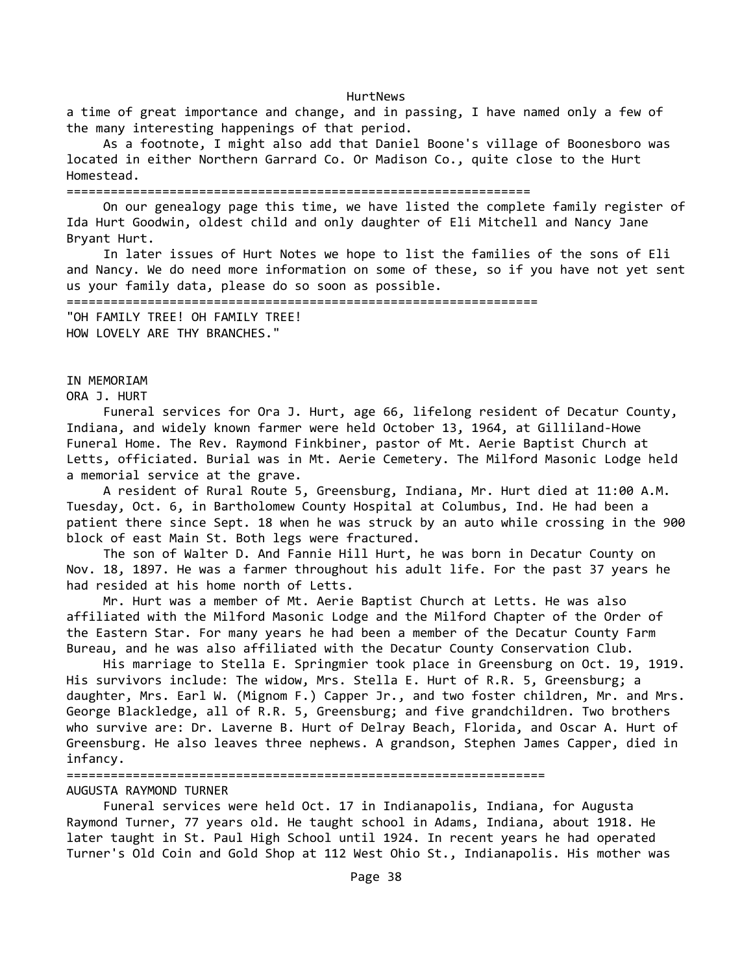a time of great importance and change, and in passing, I have named only a few of the many interesting happenings of that period.

 As a footnote, I might also add that Daniel Boone's village of Boonesboro was located in either Northern Garrard Co. Or Madison Co., quite close to the Hurt Homestead.

### ===============================================================

 On our genealogy page this time, we have listed the complete family register of Ida Hurt Goodwin, oldest child and only daughter of Eli Mitchell and Nancy Jane Bryant Hurt.

 In later issues of Hurt Notes we hope to list the families of the sons of Eli and Nancy. We do need more information on some of these, so if you have not yet sent us your family data, please do so soon as possible.

================================================================ "OH FAMILY TREE! OH FAMILY TREE!

HOW LOVELY ARE THY BRANCHES."

# IN MEMORIAM

ORA J. HURT

 Funeral services for Ora J. Hurt, age 66, lifelong resident of Decatur County, Indiana, and widely known farmer were held October 13, 1964, at Gilliland-Howe Funeral Home. The Rev. Raymond Finkbiner, pastor of Mt. Aerie Baptist Church at Letts, officiated. Burial was in Mt. Aerie Cemetery. The Milford Masonic Lodge held a memorial service at the grave.

 A resident of Rural Route 5, Greensburg, Indiana, Mr. Hurt died at 11:00 A.M. Tuesday, Oct. 6, in Bartholomew County Hospital at Columbus, Ind. He had been a patient there since Sept. 18 when he was struck by an auto while crossing in the 900 block of east Main St. Both legs were fractured.

 The son of Walter D. And Fannie Hill Hurt, he was born in Decatur County on Nov. 18, 1897. He was a farmer throughout his adult life. For the past 37 years he had resided at his home north of Letts.

 Mr. Hurt was a member of Mt. Aerie Baptist Church at Letts. He was also affiliated with the Milford Masonic Lodge and the Milford Chapter of the Order of the Eastern Star. For many years he had been a member of the Decatur County Farm Bureau, and he was also affiliated with the Decatur County Conservation Club.

 His marriage to Stella E. Springmier took place in Greensburg on Oct. 19, 1919. His survivors include: The widow, Mrs. Stella E. Hurt of R.R. 5, Greensburg; a daughter, Mrs. Earl W. (Mignom F.) Capper Jr., and two foster children, Mr. and Mrs. George Blackledge, all of R.R. 5, Greensburg; and five grandchildren. Two brothers who survive are: Dr. Laverne B. Hurt of Delray Beach, Florida, and Oscar A. Hurt of Greensburg. He also leaves three nephews. A grandson, Stephen James Capper, died in infancy.

=================================================================

### AUGUSTA RAYMOND TURNER

 Funeral services were held Oct. 17 in Indianapolis, Indiana, for Augusta Raymond Turner, 77 years old. He taught school in Adams, Indiana, about 1918. He later taught in St. Paul High School until 1924. In recent years he had operated Turner's Old Coin and Gold Shop at 112 West Ohio St., Indianapolis. His mother was